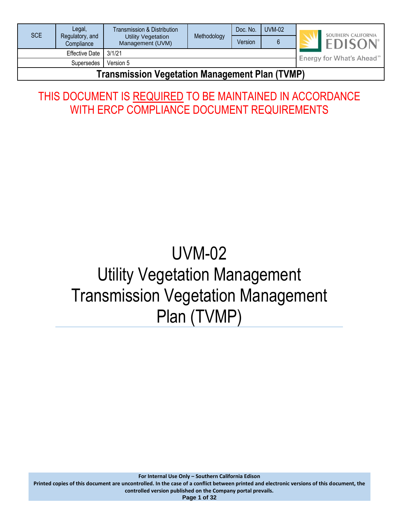| SCE                                            | Legal,                        | Transmission & Distribution                   | Methodology | Doc. No. | <b>UVM-02</b>                        |  | SOUTHERN CALIFORNIA |
|------------------------------------------------|-------------------------------|-----------------------------------------------|-------------|----------|--------------------------------------|--|---------------------|
|                                                | Regulatory, and<br>Compliance | <b>Utility Vegetation</b><br>Management (UVM) |             | Version  |                                      |  | <b>EDISON</b>       |
| 3/1/21<br><b>Effective Date</b>                |                               |                                               |             |          | Energy for What's Ahead <sup>™</sup> |  |                     |
| Version 5<br><b>Supersedes</b>                 |                               |                                               |             |          |                                      |  |                     |
| Tranamicaian Verstelian Manaramant Dlan (TVMD) |                               |                                               |             |          |                                      |  |                     |

# **Transmission Vegetation Management Plan (TVMP)**

# THIS DOCUMENT IS REQUIRED TO BE MAINTAINED IN ACCORDANCE WITH ERCP COMPLIANCE DOCUMENT REQUIREMENTS

# UVM-02 Utility Vegetation Management Transmission Vegetation Management Plan (TVMP)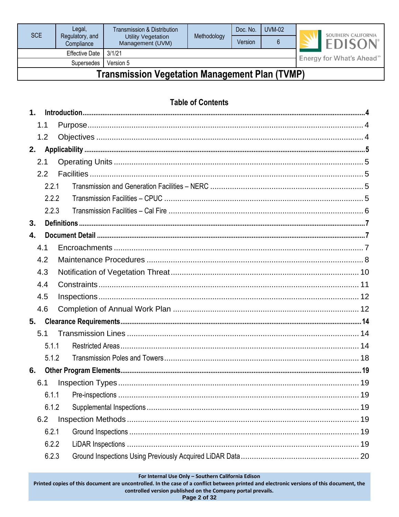| SCE                             | Legal,                        | Transmission & Distribution<br>Methodology    | Doc. No. | <b>UVM-02</b> |  | SOUTHERN CALIFORNIA                  |                |
|---------------------------------|-------------------------------|-----------------------------------------------|----------|---------------|--|--------------------------------------|----------------|
|                                 | Regulatory, and<br>Compliance | <b>Utility Vegetation</b><br>Management (UVM) |          | Version       |  |                                      | <b>EDISON®</b> |
| 3/1/21<br><b>Effective Date</b> |                               |                                               |          |               |  | Energy for What's Ahead <sup>™</sup> |                |
| Version 5<br>Supersedes         |                               |                                               |          |               |  |                                      |                |
|                                 |                               |                                               |          |               |  |                                      |                |

# **Transmission Vegetation Management Plan (TVMP)**

# **Table of Contents**

| 1 <sub>1</sub> |       |       |  |
|----------------|-------|-------|--|
|                | 1.1   |       |  |
|                | 1.2   |       |  |
| 2.             |       |       |  |
|                | 2.1   |       |  |
|                | 2.2   |       |  |
|                |       | 2.2.1 |  |
|                |       | 2.2.2 |  |
|                |       | 2.2.3 |  |
| 3.             |       |       |  |
| 4.             |       |       |  |
|                | 4.1   |       |  |
|                | 4.2   |       |  |
|                | 4.3   |       |  |
|                | 4.4   |       |  |
|                | 4.5   |       |  |
|                | 4.6   |       |  |
| 5.             |       |       |  |
|                | 5.1   |       |  |
|                |       | 5.1.1 |  |
|                |       | 5.1.2 |  |
| 6.             |       |       |  |
|                | 6.1   |       |  |
|                |       | 6.1.1 |  |
|                |       | 6.1.2 |  |
|                | 6.2   |       |  |
|                |       | 6.2.1 |  |
|                |       | 6.2.2 |  |
|                | 6.2.3 |       |  |

For Internal Use Only - Southern California Edison

Printed copies of this document are uncontrolled. In the case of a conflict between printed and electronic versions of this document, the controlled version published on the Company portal prevails.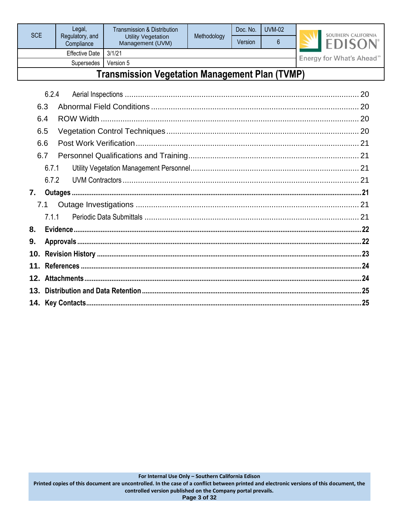| SCE                                            | Legal,                        | Transmission & Distribution<br>Utility Vegetation<br>Management (UVM) | Methodology | Doc. No. | <b>UVM-02</b> |                                      | SOUTHERN CALIFORNIA |  |
|------------------------------------------------|-------------------------------|-----------------------------------------------------------------------|-------------|----------|---------------|--------------------------------------|---------------------|--|
|                                                | Regulatory, and<br>Compliance |                                                                       |             | Version  | 6             |                                      | <b>EDISON</b>       |  |
| 3/1/21<br><b>Effective Date</b>                |                               |                                                                       |             |          |               | Energy for What's Ahead <sup>™</sup> |                     |  |
| Version 5<br><b>Supersedes</b>                 |                               |                                                                       |             |          |               |                                      |                     |  |
| Transmission Vegetation Management Plan (TVMP) |                               |                                                                       |             |          |               |                                      |                     |  |

|    | 6.2.4 |  |  |  |  |  |  |
|----|-------|--|--|--|--|--|--|
|    | 6.3   |  |  |  |  |  |  |
|    | 6.4   |  |  |  |  |  |  |
|    | 6.5   |  |  |  |  |  |  |
|    | 6.6   |  |  |  |  |  |  |
|    | 6.7   |  |  |  |  |  |  |
|    | 6.7.1 |  |  |  |  |  |  |
|    | 6.7.2 |  |  |  |  |  |  |
| 7. |       |  |  |  |  |  |  |
|    | 7.1   |  |  |  |  |  |  |
|    | 7.1.1 |  |  |  |  |  |  |
| 8. |       |  |  |  |  |  |  |
| 9. |       |  |  |  |  |  |  |
|    |       |  |  |  |  |  |  |
|    |       |  |  |  |  |  |  |
|    |       |  |  |  |  |  |  |
|    |       |  |  |  |  |  |  |
|    |       |  |  |  |  |  |  |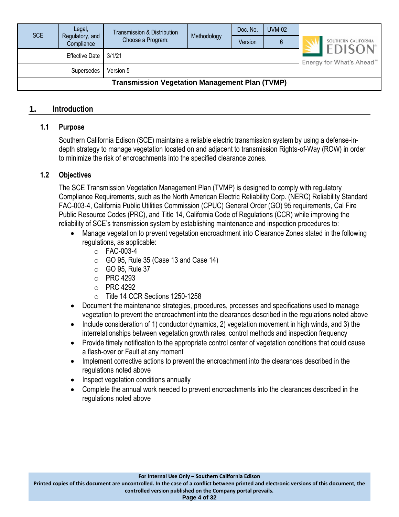| <b>SCE</b>                                            | Legal,<br>Regulatory, and | Transmission & Distribution | Methodology | Doc. No. | <b>UVM-02</b>                          |                                      |  |  |
|-------------------------------------------------------|---------------------------|-----------------------------|-------------|----------|----------------------------------------|--------------------------------------|--|--|
|                                                       | Compliance                | Choose a Program:           |             | Version  | 6                                      | SOUTHERN CALIFORNIA<br><b>EDISON</b> |  |  |
| Effective Date   3/1/21                               |                           |                             |             |          | Energy for What's Ahead <sup>550</sup> |                                      |  |  |
|                                                       |                           |                             |             |          |                                        |                                      |  |  |
| <b>Transmission Vegetation Management Plan (TVMP)</b> |                           |                             |             |          |                                        |                                      |  |  |

#### <span id="page-3-1"></span><span id="page-3-0"></span>**1. Introduction**

#### **1.1 Purpose**

Southern California Edison (SCE) maintains a reliable electric transmission system by using a defense-indepth strategy to manage vegetation located on and adjacent to transmission Rights-of-Way (ROW) in order to minimize the risk of encroachments into the specified clearance zones.

#### <span id="page-3-2"></span>**1.2 Objectives**

The SCE Transmission Vegetation Management Plan (TVMP) is designed to comply with regulatory Compliance Requirements, such as the North American Electric Reliability Corp. (NERC) Reliability Standard FAC-003-4, California Public Utilities Commission (CPUC) General Order (GO) 95 requirements, Cal Fire Public Resource Codes (PRC), and Title 14, California Code of Regulations (CCR) while improving the reliability of SCE's transmission system by establishing maintenance and inspection procedures to:

- Manage vegetation to prevent vegetation encroachment into Clearance Zones stated in the following regulations, as applicable:
	- o FAC-003-4
	- $\circ$  GO 95, Rule 35 (Case 13 and Case 14)
	- o GO 95, Rule 37
	- o PRC 4293
	- o PRC 4292
	- o Title 14 CCR Sections 1250-1258
- Document the maintenance strategies, procedures, processes and specifications used to manage vegetation to prevent the encroachment into the clearances described in the regulations noted above
- Include consideration of 1) conductor dynamics, 2) vegetation movement in high winds, and 3) the interrelationships between vegetation growth rates, control methods and inspection frequency
- Provide timely notification to the appropriate control center of vegetation conditions that could cause a flash-over or Fault at any moment
- Implement corrective actions to prevent the encroachment into the clearances described in the regulations noted above
- Inspect vegetation conditions annually
- Complete the annual work needed to prevent encroachments into the clearances described in the regulations noted above

**Printed copies of this document are uncontrolled. In the case of a conflict between printed and electronic versions of this document, the controlled version published on the Company portal prevails.**

**Page 4 of 32**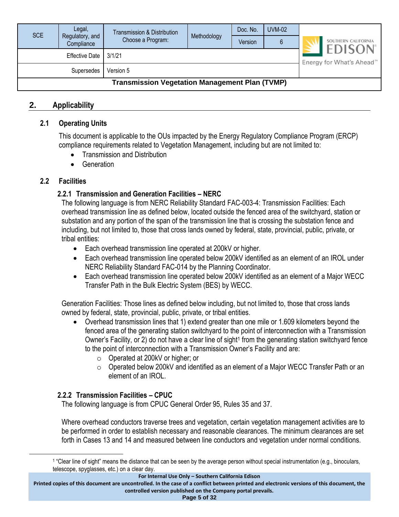| <b>SCE</b>                                            | Legal,<br>Regulatory, and<br>Compliance | Transmission & Distribution<br>Choose a Program: | Methodology | Doc. No.<br>Version | <b>UVM-02</b><br>6                                                  |  | SOUTHERN CALIFORNIA |  |
|-------------------------------------------------------|-----------------------------------------|--------------------------------------------------|-------------|---------------------|---------------------------------------------------------------------|--|---------------------|--|
| Effective Date   3/1/21                               |                                         |                                                  |             |                     | <b>EDISON</b> <sup>®</sup><br>Energy for What's Ahead <sup>5M</sup> |  |                     |  |
| Version 5<br>Supersedes                               |                                         |                                                  |             |                     |                                                                     |  |                     |  |
| <b>Transmission Vegetation Management Plan (TVMP)</b> |                                         |                                                  |             |                     |                                                                     |  |                     |  |

#### <span id="page-4-1"></span><span id="page-4-0"></span>**2. Applicability**

#### **2.1 Operating Units**

This document is applicable to the OUs impacted by the Energy Regulatory Compliance Program (ERCP) compliance requirements related to Vegetation Management, including but are not limited to:

- Transmission and Distribution
- Generation

#### <span id="page-4-3"></span><span id="page-4-2"></span>**2.2 Facilities**

#### **2.2.1 Transmission and Generation Facilities – NERC**

The following language is from NERC Reliability Standard FAC-003-4: Transmission Facilities: Each overhead transmission line as defined below, located outside the fenced area of the switchyard, station or substation and any portion of the span of the transmission line that is crossing the substation fence and including, but not limited to, those that cross lands owned by federal, state, provincial, public, private, or tribal entities:

- Each overhead transmission line operated at 200kV or higher.
- Each overhead transmission line operated below 200kV identified as an element of an IROL under NERC Reliability Standard FAC-014 by the Planning Coordinator.
- Each overhead transmission line operated below 200kV identified as an element of a Major WECC Transfer Path in the Bulk Electric System (BES) by WECC.

Generation Facilities: Those lines as defined below including, but not limited to, those that cross lands owned by federal, state, provincial, public, private, or tribal entities.

- Overhead transmission lines that 1) extend greater than one mile or 1.609 kilometers beyond the fenced area of the generating station switchyard to the point of interconnection with a Transmission Owner's Facility, or 2) do not have a clear line of sight<sup>1</sup> from the generating station switchyard fence to the point of interconnection with a Transmission Owner's Facility and are:
	- o Operated at 200kV or higher; or
	- o Operated below 200kV and identified as an element of a Major WECC Transfer Path or an element of an IROL.

#### <span id="page-4-4"></span>**2.2.2 Transmission Facilities – CPUC**

The following language is from CPUC General Order 95, Rules 35 and 37.

Where overhead conductors traverse trees and vegetation, certain vegetation management activities are to be performed in order to establish necessary and reasonable clearances. The minimum clearances are set forth in Cases 13 and 14 and measured between line conductors and vegetation under normal conditions.

**Printed copies of this document are uncontrolled. In the case of a conflict between printed and electronic versions of this document, the controlled version published on the Company portal prevails.**

**Page 5 of 32**

<sup>1</sup> "Clear line of sight" means the distance that can be seen by the average person without special instrumentation (e.g., binoculars, telescope, spyglasses, etc.) on a clear day.

**For Internal Use Only – Southern California Edison**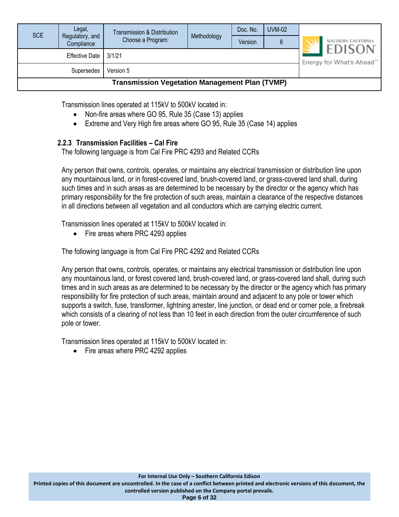| SCE                                                   | Legal,<br>Regulatory, and<br>Compliance | Transmission & Distribution<br>Choose a Program: | Methodology | Doc. No.<br>Version | <b>UVM-02</b><br>6 |                                                         | SOUTHERN CALIFORNIA |  |
|-------------------------------------------------------|-----------------------------------------|--------------------------------------------------|-------------|---------------------|--------------------|---------------------------------------------------------|---------------------|--|
| 3/1/21<br>Effective Date                              |                                         |                                                  |             |                     |                    | <b>EDISON</b><br>Energy for What's Ahead <sup>500</sup> |                     |  |
| Version 5<br>Supersedes                               |                                         |                                                  |             |                     |                    |                                                         |                     |  |
| <b>Transmission Vegetation Management Plan (TVMP)</b> |                                         |                                                  |             |                     |                    |                                                         |                     |  |

Transmission lines operated at 115kV to 500kV located in:

- Non-fire areas where GO 95, Rule 35 (Case 13) applies
- Extreme and Very High fire areas where GO 95, Rule 35 (Case 14) applies

#### <span id="page-5-0"></span>**2.2.3 Transmission Facilities – Cal Fire**

The following language is from Cal Fire PRC 4293 and Related CCRs

Any person that owns, controls, operates, or maintains any electrical transmission or distribution line upon any mountainous land, or in forest-covered land, brush-covered land, or grass-covered land shall, during such times and in such areas as are determined to be necessary by the director or the agency which has primary responsibility for the fire protection of such areas, maintain a clearance of the respective distances in all directions between all vegetation and all conductors which are carrying electric current.

Transmission lines operated at 115kV to 500kV located in:

• Fire areas where PRC 4293 applies

The following language is from Cal Fire PRC 4292 and Related CCRs

Any person that owns, controls, operates, or maintains any electrical transmission or distribution line upon any mountainous land, or forest covered land, brush-covered land, or grass-covered land shall, during such times and in such areas as are determined to be necessary by the director or the agency which has primary responsibility for fire protection of such areas, maintain around and adjacent to any pole or tower which supports a switch, fuse, transformer, lightning arrester, line junction, or dead end or corner pole, a firebreak which consists of a clearing of not less than 10 feet in each direction from the outer circumference of such pole or tower.

Transmission lines operated at 115kV to 500kV located in:

• Fire areas where PRC 4292 applies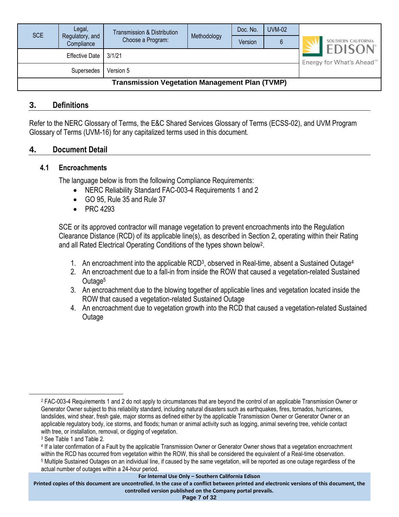| <b>SCE</b>                                            | Legal,<br>Regulatory, and<br>Compliance | <b>Transmission &amp; Distribution</b><br>Choose a Program: | Methodology | Doc. No.<br>Version | <b>UVM-02</b> |                                                        | SOUTHERN CALIFORNIA |
|-------------------------------------------------------|-----------------------------------------|-------------------------------------------------------------|-------------|---------------------|---------------|--------------------------------------------------------|---------------------|
| 3/1/21<br><b>Effective Date</b>                       |                                         |                                                             |             |                     |               | <b>EDISON</b><br>Energy for What's Ahead <sup>5M</sup> |                     |
| Version 5<br>Supersedes                               |                                         |                                                             |             |                     |               |                                                        |                     |
| <b>Transmission Vegetation Management Plan (TVMP)</b> |                                         |                                                             |             |                     |               |                                                        |                     |

#### <span id="page-6-0"></span>**3. Definitions**

Refer to the NERC Glossary of Terms, the E&C Shared Services Glossary of Terms (ECSS-02), and UVM Program Glossary of Terms (UVM-16) for any capitalized terms used in this document.

#### <span id="page-6-2"></span><span id="page-6-1"></span>**4. Document Detail**

#### **4.1 Encroachments**

The language below is from the following Compliance Requirements:

- NERC Reliability Standard FAC-003-4 Requirements 1 and 2
- GO 95, Rule 35 and Rule 37
- PRC 4293

SCE or its approved contractor will manage vegetation to prevent encroachments into the Regulation Clearance Distance (RCD) of its applicable line(s), as described in Section 2, operating within their Rating and all Rated Electrical Operating Conditions of the types shown below<sup>2</sup>.

- 1. An encroachment into the applicable RCD<sup>3</sup>, observed in Real-time, absent a Sustained Outage<sup>4</sup>
- 2. An encroachment due to a fall-in from inside the ROW that caused a vegetation-related Sustained Outage<sup>5</sup>
- 3. An encroachment due to the blowing together of applicable lines and vegetation located inside the ROW that caused a vegetation-related Sustained Outage
- 4. An encroachment due to vegetation growth into the RCD that caused a vegetation-related Sustained Outage

**Printed copies of this document are uncontrolled. In the case of a conflict between printed and electronic versions of this document, the controlled version published on the Company portal prevails.**

<sup>2</sup> FAC-003-4 Requirements 1 and 2 do not apply to circumstances that are beyond the control of an applicable Transmission Owner or Generator Owner subject to this reliability standard, including natural disasters such as earthquakes, fires, tornados, hurricanes, landslides, wind shear, fresh gale, major storms as defined either by the applicable Transmission Owner or Generator Owner or an applicable regulatory body, ice storms, and floods; human or animal activity such as logging, animal severing tree, vehicle contact with tree, or installation, removal, or digging of vegetation.

<sup>3</sup> See Table 1 and Table 2.

<sup>4</sup> If a later confirmation of a Fault by the applicable Transmission Owner or Generator Owner shows that a vegetation encroachment within the RCD has occurred from vegetation within the ROW, this shall be considered the equivalent of a Real-time observation. <sup>5</sup> Multiple Sustained Outages on an individual line, if caused by the same vegetation, will be reported as one outage regardless of the actual number of outages within a 24-hour period.

**For Internal Use Only – Southern California Edison**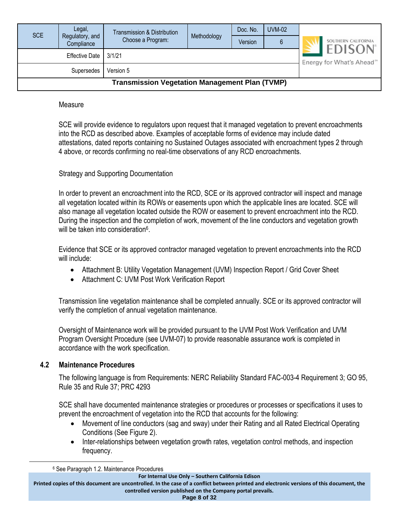| <b>SCE</b>                                            | Legal,<br>Regulatory, and<br>Compliance | Transmission & Distribution<br>Choose a Program: | Methodology | Doc. No.<br>Version | <b>UVM-02</b><br>6                                                   | SOUTHERN CALIFORNIA |  |  |
|-------------------------------------------------------|-----------------------------------------|--------------------------------------------------|-------------|---------------------|----------------------------------------------------------------------|---------------------|--|--|
| Effective Date   3/1/21                               |                                         |                                                  |             |                     | <b>EDISON</b> <sup>®</sup><br>Energy for What's Ahead <sup>500</sup> |                     |  |  |
| Version 5<br>Supersedes                               |                                         |                                                  |             |                     |                                                                      |                     |  |  |
| <b>Transmission Vegetation Management Plan (TVMP)</b> |                                         |                                                  |             |                     |                                                                      |                     |  |  |

#### Measure

SCE will provide evidence to regulators upon request that it managed vegetation to prevent encroachments into the RCD as described above. Examples of acceptable forms of evidence may include dated attestations, dated reports containing no Sustained Outages associated with encroachment types 2 through 4 above, or records confirming no real-time observations of any RCD encroachments.

#### Strategy and Supporting Documentation

In order to prevent an encroachment into the RCD, SCE or its approved contractor will inspect and manage all vegetation located within its ROWs or easements upon which the applicable lines are located. SCE will also manage all vegetation located outside the ROW or easement to prevent encroachment into the RCD. During the inspection and the completion of work, movement of the line conductors and vegetation growth will be taken into consideration<sup>6</sup>.

Evidence that SCE or its approved contractor managed vegetation to prevent encroachments into the RCD will include:

- Attachment B: Utility Vegetation Management (UVM) Inspection Report / Grid Cover Sheet
- Attachment C: UVM Post Work Verification Report

Transmission line vegetation maintenance shall be completed annually. SCE or its approved contractor will verify the completion of annual vegetation maintenance.

Oversight of Maintenance work will be provided pursuant to the UVM Post Work Verification and UVM Program Oversight Procedure (see UVM-07) to provide reasonable assurance work is completed in accordance with the work specification.

#### <span id="page-7-0"></span>**4.2 Maintenance Procedures**

The following language is from Requirements: NERC Reliability Standard FAC-003-4 Requirement 3; GO 95, Rule 35 and Rule 37; PRC 4293

SCE shall have documented maintenance strategies or procedures or processes or specifications it uses to prevent the encroachment of vegetation into the RCD that accounts for the following:

- Movement of line conductors (sag and sway) under their Rating and all Rated Electrical Operating Conditions (See Figure 2).
- Inter-relationships between vegetation growth rates, vegetation control methods, and inspection frequency.

**For Internal Use Only – Southern California Edison**

**Printed copies of this document are uncontrolled. In the case of a conflict between printed and electronic versions of this document, the controlled version published on the Company portal prevails.**

**Page 8 of 32**

<sup>6</sup> See Paragraph 1.2. Maintenance Procedures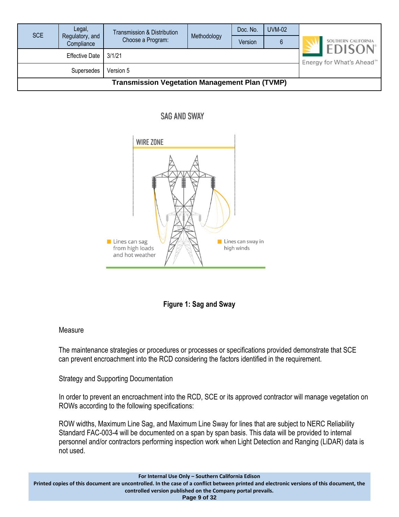| <b>SCE</b>                                            | Legal,<br>Regulatory, and<br>Compliance | Transmission & Distribution<br>Choose a Program: | Methodology                                                         | Doc. No.<br>Version | <b>UVM-02</b><br>6 | SOUTHERN CALIFORNIA |  |  |
|-------------------------------------------------------|-----------------------------------------|--------------------------------------------------|---------------------------------------------------------------------|---------------------|--------------------|---------------------|--|--|
|                                                       | <b>Effective Date</b>                   | 3/1/21                                           | <b>EDISON</b> <sup>®</sup><br>Energy for What's Ahead <sup>5M</sup> |                     |                    |                     |  |  |
| Version 5<br>Supersedes                               |                                         |                                                  |                                                                     |                     |                    |                     |  |  |
| <b>Transmission Vegetation Management Plan (TVMP)</b> |                                         |                                                  |                                                                     |                     |                    |                     |  |  |

#### **SAG AND SWAY**





#### **Measure**

The maintenance strategies or procedures or processes or specifications provided demonstrate that SCE can prevent encroachment into the RCD considering the factors identified in the requirement.

Strategy and Supporting Documentation

In order to prevent an encroachment into the RCD, SCE or its approved contractor will manage vegetation on ROWs according to the following specifications:

ROW widths, Maximum Line Sag, and Maximum Line Sway for lines that are subject to NERC Reliability Standard FAC-003-4 will be documented on a span by span basis. This data will be provided to internal personnel and/or contractors performing inspection work when Light Detection and Ranging (LiDAR) data is not used.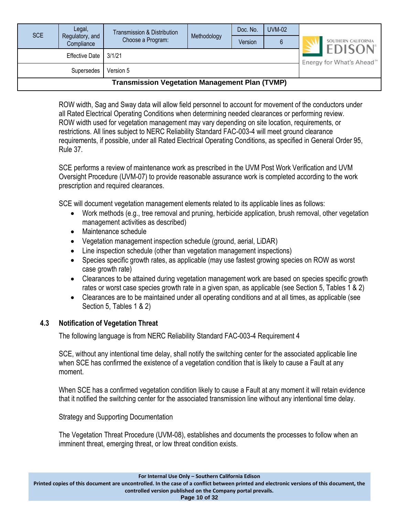| <b>SCE</b>                                            | Legal,<br>Regulatory, and<br>Compliance | <b>Transmission &amp; Distribution</b><br>Choose a Program: | Methodology | Doc. No.<br>Version | <b>UVM-02</b><br>6 | SOUTHERN CALIFORNIA                                    |  |  |
|-------------------------------------------------------|-----------------------------------------|-------------------------------------------------------------|-------------|---------------------|--------------------|--------------------------------------------------------|--|--|
| Effective Date   3/1/21                               |                                         |                                                             |             |                     |                    | <b>EDISON</b><br>Energy for What's Ahead <sup>5M</sup> |  |  |
| Version 5<br>Supersedes                               |                                         |                                                             |             |                     |                    |                                                        |  |  |
| <b>Transmission Vegetation Management Plan (TVMP)</b> |                                         |                                                             |             |                     |                    |                                                        |  |  |

ROW width, Sag and Sway data will allow field personnel to account for movement of the conductors under all Rated Electrical Operating Conditions when determining needed clearances or performing review. ROW width used for vegetation management may vary depending on site location, requirements, or restrictions. All lines subject to NERC Reliability Standard FAC-003-4 will meet ground clearance requirements, if possible, under all Rated Electrical Operating Conditions, as specified in General Order 95, Rule 37.

SCE performs a review of maintenance work as prescribed in the UVM Post Work Verification and UVM Oversight Procedure (UVM-07) to provide reasonable assurance work is completed according to the work prescription and required clearances.

SCE will document vegetation management elements related to its applicable lines as follows:

- Work methods (e.g., tree removal and pruning, herbicide application, brush removal, other vegetation management activities as described)
- Maintenance schedule
- Vegetation management inspection schedule (ground, aerial, LiDAR)
- Line inspection schedule (other than vegetation management inspections)
- Species specific growth rates, as applicable (may use fastest growing species on ROW as worst case growth rate)
- Clearances to be attained during vegetation management work are based on species specific growth rates or worst case species growth rate in a given span, as applicable (see Section 5, Tables 1 & 2)
- Clearances are to be maintained under all operating conditions and at all times, as applicable (see Section 5, Tables 1 & 2)

#### <span id="page-9-0"></span>**4.3 Notification of Vegetation Threat**

The following language is from NERC Reliability Standard FAC-003-4 Requirement 4

SCE, without any intentional time delay, shall notify the switching center for the associated applicable line when SCE has confirmed the existence of a vegetation condition that is likely to cause a Fault at any moment.

When SCE has a confirmed vegetation condition likely to cause a Fault at any moment it will retain evidence that it notified the switching center for the associated transmission line without any intentional time delay.

Strategy and Supporting Documentation

The Vegetation Threat Procedure (UVM-08), establishes and documents the processes to follow when an imminent threat, emerging threat, or low threat condition exists.

**Printed copies of this document are uncontrolled. In the case of a conflict between printed and electronic versions of this document, the controlled version published on the Company portal prevails.**

**Page 10 of 32**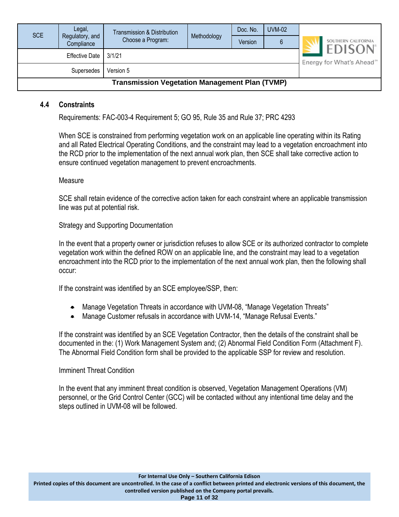| <b>SCE</b>                                            | Legal,<br>Regulatory, and<br>Compliance | Transmission & Distribution<br>Choose a Program: | Methodology | Doc. No.<br>Version | <b>UVM-02</b><br>6 |  | SOUTHERN CALIFORNIA                                    |  |
|-------------------------------------------------------|-----------------------------------------|--------------------------------------------------|-------------|---------------------|--------------------|--|--------------------------------------------------------|--|
| <b>Effective Date</b><br>3/1/21                       |                                         |                                                  |             |                     |                    |  | <b>EDISON</b><br>Energy for What's Ahead <sup>®®</sup> |  |
| Version 5<br>Supersedes                               |                                         |                                                  |             |                     |                    |  |                                                        |  |
| <b>Transmission Vegetation Management Plan (TVMP)</b> |                                         |                                                  |             |                     |                    |  |                                                        |  |

#### <span id="page-10-0"></span>**4.4 Constraints**

Requirements: FAC-003-4 Requirement 5; GO 95, Rule 35 and Rule 37; PRC 4293

When SCE is constrained from performing vegetation work on an applicable line operating within its Rating and all Rated Electrical Operating Conditions, and the constraint may lead to a vegetation encroachment into the RCD prior to the implementation of the next annual work plan, then SCE shall take corrective action to ensure continued vegetation management to prevent encroachments.

#### Measure

SCE shall retain evidence of the corrective action taken for each constraint where an applicable transmission line was put at potential risk.

Strategy and Supporting Documentation

In the event that a property owner or jurisdiction refuses to allow SCE or its authorized contractor to complete vegetation work within the defined ROW on an applicable line, and the constraint may lead to a vegetation encroachment into the RCD prior to the implementation of the next annual work plan, then the following shall occur:

If the constraint was identified by an SCE employee/SSP, then:

- Manage Vegetation Threats in accordance with UVM-08, "Manage Vegetation Threats"
- Manage Customer refusals in accordance with UVM-14, "Manage Refusal Events."

If the constraint was identified by an SCE Vegetation Contractor, then the details of the constraint shall be documented in the: (1) Work Management System and; (2) Abnormal Field Condition Form (Attachment F). The Abnormal Field Condition form shall be provided to the applicable SSP for review and resolution.

#### Imminent Threat Condition

In the event that any imminent threat condition is observed, Vegetation Management Operations (VM) personnel, or the Grid Control Center (GCC) will be contacted without any intentional time delay and the steps outlined in UVM-08 will be followed.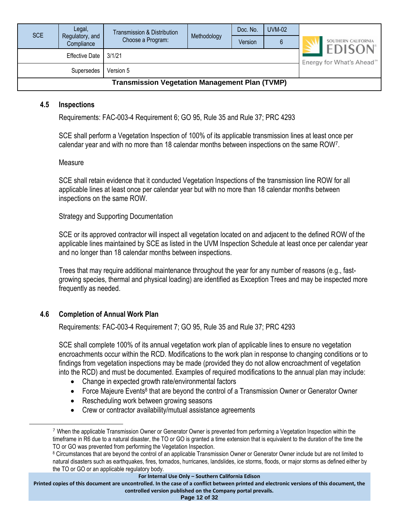| <b>SCE</b>                                            | Legal,<br>Regulatory, and<br>Compliance | Transmission & Distribution<br>Choose a Program: | Methodology | Doc. No.<br>Version | <b>UVM-02</b> |  | SOUTHERN CALIFORNIA                                    |  |
|-------------------------------------------------------|-----------------------------------------|--------------------------------------------------|-------------|---------------------|---------------|--|--------------------------------------------------------|--|
| 3/1/21<br>Effective Date                              |                                         |                                                  |             |                     |               |  | <b>EDISON</b><br>Energy for What's Ahead <sup>5M</sup> |  |
| Version 5<br>Supersedes                               |                                         |                                                  |             |                     |               |  |                                                        |  |
| <b>Transmission Vegetation Management Plan (TVMP)</b> |                                         |                                                  |             |                     |               |  |                                                        |  |

#### <span id="page-11-0"></span>**4.5 Inspections**

Requirements: FAC-003-4 Requirement 6; GO 95, Rule 35 and Rule 37; PRC 4293

SCE shall perform a Vegetation Inspection of 100% of its applicable transmission lines at least once per calendar year and with no more than 18 calendar months between inspections on the same ROW<sup>7</sup> .

#### Measure

SCE shall retain evidence that it conducted Vegetation Inspections of the transmission line ROW for all applicable lines at least once per calendar year but with no more than 18 calendar months between inspections on the same ROW.

Strategy and Supporting Documentation

SCE or its approved contractor will inspect all vegetation located on and adjacent to the defined ROW of the applicable lines maintained by SCE as listed in the UVM Inspection Schedule at least once per calendar year and no longer than 18 calendar months between inspections.

Trees that may require additional maintenance throughout the year for any number of reasons (e.g., fastgrowing species, thermal and physical loading) are identified as Exception Trees and may be inspected more frequently as needed.

#### <span id="page-11-1"></span>**4.6 Completion of Annual Work Plan**

Requirements: FAC-003-4 Requirement 7; GO 95, Rule 35 and Rule 37; PRC 4293

SCE shall complete 100% of its annual vegetation work plan of applicable lines to ensure no vegetation encroachments occur within the RCD. Modifications to the work plan in response to changing conditions or to findings from vegetation inspections may be made (provided they do not allow encroachment of vegetation into the RCD) and must be documented. Examples of required modifications to the annual plan may include:

- Change in expected growth rate/environmental factors
- Force Majeure Events<sup>8</sup> that are beyond the control of a Transmission Owner or Generator Owner
- Rescheduling work between growing seasons
- Crew or contractor availability/mutual assistance agreements

**For Internal Use Only – Southern California Edison**

**Printed copies of this document are uncontrolled. In the case of a conflict between printed and electronic versions of this document, the controlled version published on the Company portal prevails.**

**Page 12 of 32**

<sup>7</sup> When the applicable Transmission Owner or Generator Owner is prevented from performing a Vegetation Inspection within the timeframe in R6 due to a natural disaster, the TO or GO is granted a time extension that is equivalent to the duration of the time the TO or GO was prevented from performing the Vegetation Inspection.

<sup>8</sup> Circumstances that are beyond the control of an applicable Transmission Owner or Generator Owner include but are not limited to natural disasters such as earthquakes, fires, tornados, hurricanes, landslides, ice storms, floods, or major storms as defined either by the TO or GO or an applicable regulatory body.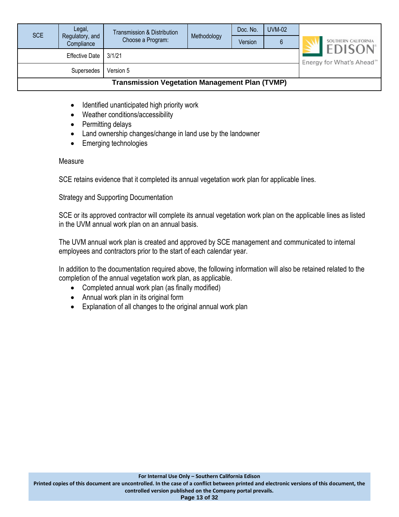| <b>SCE</b>                                            | Legal,<br>Regulatory, and<br>Compliance                            | Transmission & Distribution<br>Choose a Program: | Methodology | Doc. No.<br>Version | <b>UVM-02</b> | SOUTHERN CALIFORNIA |  |
|-------------------------------------------------------|--------------------------------------------------------------------|--------------------------------------------------|-------------|---------------------|---------------|---------------------|--|
|                                                       | <b>EDISON</b> <sup>®</sup><br>Energy for What's Ahead <sup>®</sup> |                                                  |             |                     |               |                     |  |
|                                                       |                                                                    |                                                  |             |                     |               |                     |  |
| <b>Transmission Vegetation Management Plan (TVMP)</b> |                                                                    |                                                  |             |                     |               |                     |  |

- Identified unanticipated high priority work
- Weather conditions/accessibility
- Permitting delays
- Land ownership changes/change in land use by the landowner
- Emerging technologies

#### Measure

SCE retains evidence that it completed its annual vegetation work plan for applicable lines.

Strategy and Supporting Documentation

SCE or its approved contractor will complete its annual vegetation work plan on the applicable lines as listed in the UVM annual work plan on an annual basis.

The UVM annual work plan is created and approved by SCE management and communicated to internal employees and contractors prior to the start of each calendar year.

In addition to the documentation required above, the following information will also be retained related to the completion of the annual vegetation work plan, as applicable.

- Completed annual work plan (as finally modified)
- Annual work plan in its original form
- Explanation of all changes to the original annual work plan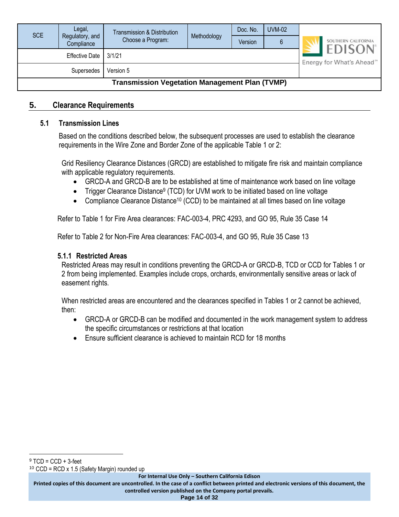| <b>SCE</b>                                            | Legal,<br>Regulatory, and | Transmission & Distribution | Methodology | Doc. No. | <b>UVM-02</b>                         |  |                                      |
|-------------------------------------------------------|---------------------------|-----------------------------|-------------|----------|---------------------------------------|--|--------------------------------------|
|                                                       | Compliance                | Choose a Program:           |             | Version  | 6                                     |  | SOUTHERN CALIFORNIA<br><b>EDISON</b> |
| <b>Effective Date</b><br>3/1/21                       |                           |                             |             |          | Energy for What's Ahead <sup>5M</sup> |  |                                      |
| Version 5<br>Supersedes                               |                           |                             |             |          |                                       |  |                                      |
| <b>Transmission Vegetation Management Plan (TVMP)</b> |                           |                             |             |          |                                       |  |                                      |

#### <span id="page-13-1"></span><span id="page-13-0"></span>**5. Clearance Requirements**

#### **5.1 Transmission Lines**

Based on the conditions described below, the subsequent processes are used to establish the clearance requirements in the Wire Zone and Border Zone of the applicable Table 1 or 2:

Grid Resiliency Clearance Distances (GRCD) are established to mitigate fire risk and maintain compliance with applicable regulatory requirements.

- GRCD-A and GRCD-B are to be established at time of maintenance work based on line voltage
- Trigger Clearance Distance<sup>9</sup> (TCD) for UVM work to be initiated based on line voltage
- Compliance Clearance Distance<sup>10</sup> (CCD) to be maintained at all times based on line voltage

Refer to Table 1 for Fire Area clearances: FAC-003-4, PRC 4293, and GO 95, Rule 35 Case 14

Refer to Table 2 for Non-Fire Area clearances: FAC-003-4, and GO 95, Rule 35 Case 13

#### <span id="page-13-2"></span>**5.1.1 Restricted Areas**

Restricted Areas may result in conditions preventing the GRCD-A or GRCD-B, TCD or CCD for Tables 1 or 2 from being implemented. Examples include crops, orchards, environmentally sensitive areas or lack of easement rights.

When restricted areas are encountered and the clearances specified in Tables 1 or 2 cannot be achieved, then:

- GRCD-A or GRCD-B can be modified and documented in the work management system to address the specific circumstances or restrictions at that location
- Ensure sufficient clearance is achieved to maintain RCD for 18 months

<sup>10</sup> CCD = RCD x 1.5 (Safety Margin) rounded up

**For Internal Use Only – Southern California Edison**

**Printed copies of this document are uncontrolled. In the case of a conflict between printed and electronic versions of this document, the controlled version published on the Company portal prevails.**

**Page 14 of 32**

 $9$  TCD = CCD + 3-feet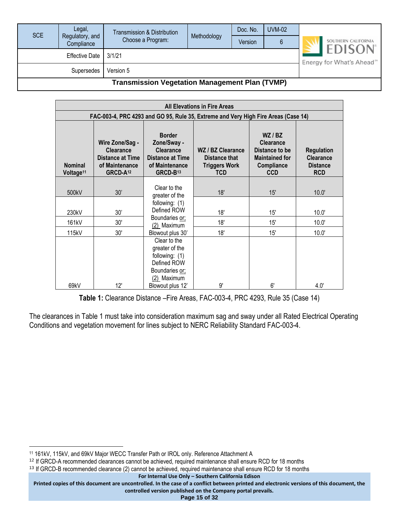| SCE                                                   | Legal,<br>Regulatory, and<br>Compliance                             | Transmission & Distribution<br>Choose a Program: | Methodology | Doc. No.<br>Version | <b>UVM-02</b> | SOUTHERN CALIFORNIA |  |
|-------------------------------------------------------|---------------------------------------------------------------------|--------------------------------------------------|-------------|---------------------|---------------|---------------------|--|
|                                                       | <b>EDISON</b> <sup>®</sup><br>Energy for What's Ahead <sup>5M</sup> |                                                  |             |                     |               |                     |  |
|                                                       |                                                                     |                                                  |             |                     |               |                     |  |
| <b>Transmission Vegetation Management Plan (TVMP)</b> |                                                                     |                                                  |             |                     |               |                     |  |

|                                         | <b>All Elevations in Fire Areas</b>                                                                      |                                                                                                                       |                                                                                    |                                                                                                  |                                                                        |  |  |  |  |  |
|-----------------------------------------|----------------------------------------------------------------------------------------------------------|-----------------------------------------------------------------------------------------------------------------------|------------------------------------------------------------------------------------|--------------------------------------------------------------------------------------------------|------------------------------------------------------------------------|--|--|--|--|--|
|                                         |                                                                                                          |                                                                                                                       | FAC-003-4, PRC 4293 and GO 95, Rule 35, Extreme and Very High Fire Areas (Case 14) |                                                                                                  |                                                                        |  |  |  |  |  |
| <b>Nominal</b><br>Voltage <sup>11</sup> | Wire Zone/Sag -<br><b>Clearance</b><br><b>Distance at Time</b><br>of Maintenance<br>GRCD-A <sup>12</sup> | <b>Border</b><br>Zone/Sway -<br><b>Clearance</b><br><b>Distance at Time</b><br>of Maintenance<br>GRCD-B <sup>13</sup> | WZ / BZ Clearance<br>Distance that<br><b>Triggers Work</b><br><b>TCD</b>           | WZ/BZ<br><b>Clearance</b><br>Distance to be<br><b>Maintained for</b><br>Compliance<br><b>CCD</b> | <b>Regulation</b><br><b>Clearance</b><br><b>Distance</b><br><b>RCD</b> |  |  |  |  |  |
| 500kV                                   | 30'                                                                                                      | Clear to the<br>greater of the                                                                                        | 18'                                                                                | 15'                                                                                              | 10.0'                                                                  |  |  |  |  |  |
| 230kV                                   | 30'                                                                                                      | following: (1)<br>Defined ROW                                                                                         | 18'                                                                                | 15'                                                                                              | 10.0'                                                                  |  |  |  |  |  |
| 161kV                                   | 30'                                                                                                      | Boundaries or;<br>(2) Maximum                                                                                         | 18'                                                                                | 15'                                                                                              | 10.0'                                                                  |  |  |  |  |  |
| 115kV                                   | 30'                                                                                                      | Blowout plus 30'                                                                                                      | 18'                                                                                | 15'                                                                                              | 10.0'                                                                  |  |  |  |  |  |
| 69kV                                    | 12'                                                                                                      | Clear to the<br>greater of the<br>following: (1)<br>Defined ROW<br>Boundaries or;<br>(2) Maximum<br>Blowout plus 12'  | 9'                                                                                 | 6'                                                                                               | 4.0'                                                                   |  |  |  |  |  |

**Table 1:** Clearance Distance –Fire Areas, FAC-003-4, PRC 4293, Rule 35 (Case 14)

The clearances in Table 1 must take into consideration maximum sag and sway under all Rated Electrical Operating Conditions and vegetation movement for lines subject to NERC Reliability Standard FAC-003-4.

<sup>11</sup> 161kV, 115kV, and 69kV Major WECC Transfer Path or IROL only. Reference Attachment A

<sup>12</sup> If GRCD-A recommended clearances cannot be achieved, required maintenance shall ensure RCD for 18 months

<sup>&</sup>lt;sup>13</sup> If GRCD-B recommended clearance (2) cannot be achieved, required maintenance shall ensure RCD for 18 months

**For Internal Use Only – Southern California Edison**

**Printed copies of this document are uncontrolled. In the case of a conflict between printed and electronic versions of this document, the controlled version published on the Company portal prevails.**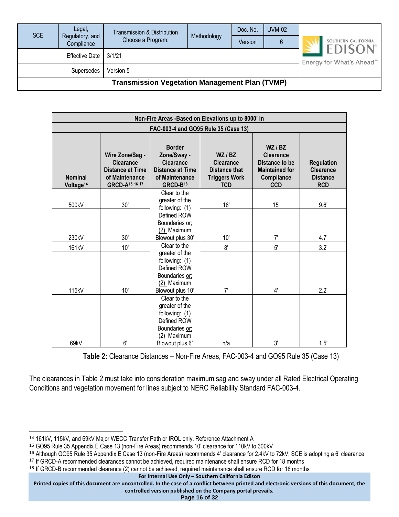| <b>SCE</b>                                            | Legal,<br>Regulatory, and | <b>Transmission &amp; Distribution</b> | Methodology | Doc. No. | <b>UVM-02</b>                         |                                      |  |
|-------------------------------------------------------|---------------------------|----------------------------------------|-------------|----------|---------------------------------------|--------------------------------------|--|
|                                                       | Compliance                | Choose a Program:                      |             | Version  |                                       | SOUTHERN CALIFORNIA<br><b>EDISON</b> |  |
| <b>Effective Date</b><br>3/1/21                       |                           |                                        |             |          | Energy for What's Ahead <sup>5M</sup> |                                      |  |
|                                                       |                           |                                        |             |          |                                       |                                      |  |
| <b>Transmission Vegetation Management Plan (TVMP)</b> |                           |                                        |             |          |                                       |                                      |  |

|                                         |                                                                                                                |                                                                                                                       | Non-Fire Areas -Based on Elevations up to 8000' in                               |                                                                                                  |                                                                        |
|-----------------------------------------|----------------------------------------------------------------------------------------------------------------|-----------------------------------------------------------------------------------------------------------------------|----------------------------------------------------------------------------------|--------------------------------------------------------------------------------------------------|------------------------------------------------------------------------|
|                                         |                                                                                                                |                                                                                                                       | FAC-003-4 and GO95 Rule 35 (Case 13)                                             |                                                                                                  |                                                                        |
| <b>Nominal</b><br>Voltage <sup>14</sup> | Wire Zone/Sag -<br><b>Clearance</b><br><b>Distance at Time</b><br>of Maintenance<br>GRCD-A <sup>15</sup> 16 17 | <b>Border</b><br>Zone/Sway -<br><b>Clearance</b><br><b>Distance at Time</b><br>of Maintenance<br>GRCD-B <sup>18</sup> | WZ/BZ<br><b>Clearance</b><br>Distance that<br><b>Triggers Work</b><br><b>TCD</b> | WZ/BZ<br><b>Clearance</b><br>Distance to be<br><b>Maintained for</b><br>Compliance<br><b>CCD</b> | <b>Regulation</b><br><b>Clearance</b><br><b>Distance</b><br><b>RCD</b> |
| 500kV                                   | 30'                                                                                                            | Clear to the<br>greater of the<br>following: $(1)$                                                                    | 18'                                                                              | 15'                                                                                              | 9.6'                                                                   |
| 230kV                                   | 30'                                                                                                            | Defined ROW<br>Boundaries or;<br>(2) Maximum<br>Blowout plus 30'                                                      | 10'                                                                              | 7'                                                                                               | 4.7'                                                                   |
| 161kV                                   | 10'                                                                                                            | Clear to the                                                                                                          | 8'                                                                               | 5'                                                                                               | 3.2'                                                                   |
| 115kV                                   | 10'                                                                                                            | greater of the<br>following: (1)<br>Defined ROW<br>Boundaries or;<br>(2) Maximum<br>Blowout plus 10'                  | 7'                                                                               | 4'                                                                                               | $2.2^{\circ}$                                                          |
| 69kV                                    | 6'                                                                                                             | Clear to the<br>greater of the<br>following: (1)<br>Defined ROW<br>Boundaries or:<br>(2) Maximum<br>Blowout plus 6'   | n/a                                                                              | 3'                                                                                               | 1.5'                                                                   |

**Table 2:** Clearance Distances – Non-Fire Areas, FAC-003-4 and GO95 Rule 35 (Case 13)

The clearances in Table 2 must take into consideration maximum sag and sway under all Rated Electrical Operating Conditions and vegetation movement for lines subject to NERC Reliability Standard FAC-003-4.

**Printed copies of this document are uncontrolled. In the case of a conflict between printed and electronic versions of this document, the controlled version published on the Company portal prevails.**

**Page 16 of 32**

<sup>14</sup> 161kV, 115kV, and 69kV Major WECC Transfer Path or IROL only. Reference Attachment A

<sup>15</sup> GO95 Rule 35 Appendix E Case 13 (non-Fire Areas) recommends 10' clearance for 110kV to 300kV

<sup>16</sup> Although GO95 Rule 35 Appendix E Case 13 (non-Fire Areas) recommends 4' clearance for 2.4kV to 72kV, SCE is adopting a 6' clearance <sup>17</sup> If GRCD-A recommended clearances cannot be achieved, required maintenance shall ensure RCD for 18 months

<sup>&</sup>lt;sup>18</sup> If GRCD-B recommended clearance (2) cannot be achieved, required maintenance shall ensure RCD for 18 months

**For Internal Use Only – Southern California Edison**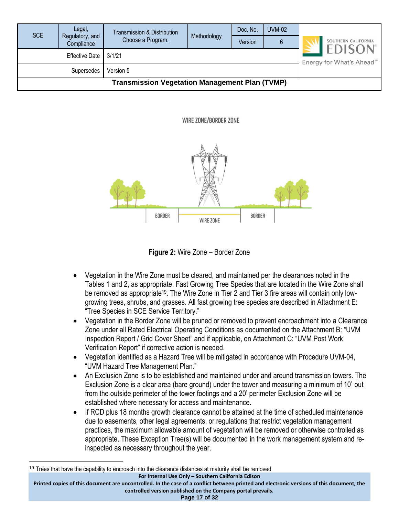| <b>SCE</b>                                            | Legal,<br>Regulatory, and<br>Compliance | <b>Transmission &amp; Distribution</b><br>Choose a Program: | Methodology | Doc. No.<br>Version | <b>UVM-02</b>                                          | SOUTHERN CALIFORNIA |  |  |
|-------------------------------------------------------|-----------------------------------------|-------------------------------------------------------------|-------------|---------------------|--------------------------------------------------------|---------------------|--|--|
| 3/1/21<br><b>Effective Date</b>                       |                                         |                                                             |             |                     | <b>EDISON</b><br>Energy for What's Ahead <sup>5M</sup> |                     |  |  |
| Version 5<br>Supersedes                               |                                         |                                                             |             |                     |                                                        |                     |  |  |
| <b>Transmission Vegetation Management Plan (TVMP)</b> |                                         |                                                             |             |                     |                                                        |                     |  |  |

WIRE ZONE/BORDER ZONE



**Figure 2:** Wire Zone – Border Zone

- Vegetation in the Wire Zone must be cleared, and maintained per the clearances noted in the Tables 1 and 2, as appropriate. Fast Growing Tree Species that are located in the Wire Zone shall be removed as appropriate<sup>19</sup>. The Wire Zone in Tier 2 and Tier 3 fire areas will contain only lowgrowing trees, shrubs, and grasses. All fast growing tree species are described in Attachment E: "Tree Species in SCE Service Territory."
- Vegetation in the Border Zone will be pruned or removed to prevent encroachment into a Clearance Zone under all Rated Electrical Operating Conditions as documented on the Attachment B: "UVM Inspection Report / Grid Cover Sheet" and if applicable, on Attachment C: "UVM Post Work Verification Report" if corrective action is needed.
- Vegetation identified as a Hazard Tree will be mitigated in accordance with Procedure UVM-04, "UVM Hazard Tree Management Plan."
- An Exclusion Zone is to be established and maintained under and around transmission towers. The Exclusion Zone is a clear area (bare ground) under the tower and measuring a minimum of 10' out from the outside perimeter of the tower footings and a 20' perimeter Exclusion Zone will be established where necessary for access and maintenance.
- If RCD plus 18 months growth clearance cannot be attained at the time of scheduled maintenance due to easements, other legal agreements, or regulations that restrict vegetation management practices, the maximum allowable amount of vegetation will be removed or otherwise controlled as appropriate. These Exception Tree(s) will be documented in the work management system and reinspected as necessary throughout the year.

**For Internal Use Only – Southern California Edison**

**Page 17 of 32**

<sup>&</sup>lt;sup>19</sup> Trees that have the capability to encroach into the clearance distances at maturity shall be removed

**Printed copies of this document are uncontrolled. In the case of a conflict between printed and electronic versions of this document, the controlled version published on the Company portal prevails.**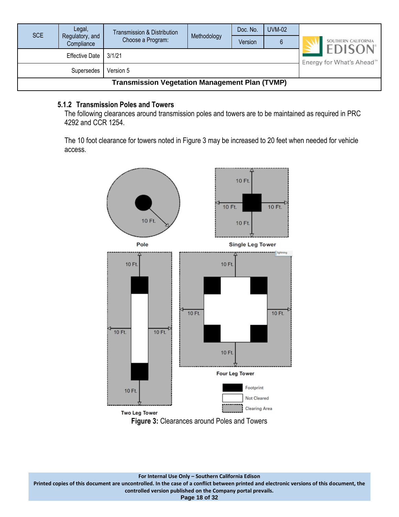| <b>SCE</b>                                            | Legal,<br>Regulatory, and | Transmission & Distribution<br>Choose a Program: | Methodology | Doc. No.<br>Version | <b>UVM-02</b><br>6 |                                                        | SOUTHERN CALIFORNIA |  |
|-------------------------------------------------------|---------------------------|--------------------------------------------------|-------------|---------------------|--------------------|--------------------------------------------------------|---------------------|--|
|                                                       | Compliance                |                                                  |             |                     |                    |                                                        |                     |  |
| <b>Effective Date</b><br>3/1/21                       |                           |                                                  |             |                     |                    | <b>EDISON</b><br>Energy for What's Ahead <sup>5M</sup> |                     |  |
| Version 5<br>Supersedes                               |                           |                                                  |             |                     |                    |                                                        |                     |  |
| <b>Transmission Vegetation Management Plan (TVMP)</b> |                           |                                                  |             |                     |                    |                                                        |                     |  |

#### <span id="page-17-0"></span>**5.1.2 Transmission Poles and Towers**

The following clearances around transmission poles and towers are to be maintained as required in PRC 4292 and CCR 1254.

The 10 foot clearance for towers noted in Figure 3 may be increased to 20 feet when needed for vehicle access.

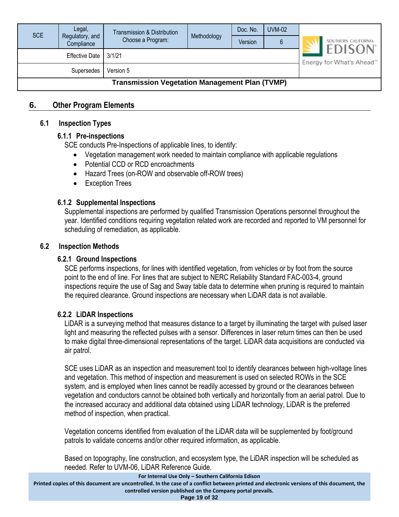| <b>SCE</b>                                            | Legal,<br>Regulatory, and | Transmission & Distribution<br>Choose a Program: | Methodology | Doc. No.<br>Version | <b>UVM-02</b><br>6 | SOUTHERN CALIFORNIA                                     |  |
|-------------------------------------------------------|---------------------------|--------------------------------------------------|-------------|---------------------|--------------------|---------------------------------------------------------|--|
|                                                       | Compliance                |                                                  |             |                     |                    |                                                         |  |
| <b>Effective Date</b><br>3/1/21                       |                           |                                                  |             |                     |                    | <b>EDISON</b><br>Energy for What's Ahead <sup>500</sup> |  |
|                                                       |                           |                                                  |             |                     |                    |                                                         |  |
| <b>Transmission Vegetation Management Plan (TVMP)</b> |                           |                                                  |             |                     |                    |                                                         |  |

#### <span id="page-18-1"></span><span id="page-18-0"></span>**6. Other Program Elements**

#### <span id="page-18-2"></span>**6.1 Inspection Types**

#### **6.1.1 Pre-inspections**

SCE conducts Pre-Inspections of applicable lines, to identify:

- Vegetation management work needed to maintain compliance with applicable regulations
- Potential CCD or RCD encroachments
- Hazard Trees (on-ROW and observable off-ROW trees)
- Exception Trees

#### <span id="page-18-3"></span>**6.1.2 Supplemental Inspections**

Supplemental inspections are performed by qualified Transmission Operations personnel throughout the year. Identified conditions requiring vegetation related work are recorded and reported to VM personnel for scheduling of remediation, as applicable.

#### <span id="page-18-5"></span><span id="page-18-4"></span>**6.2 Inspection Methods**

#### **6.2.1 Ground Inspections**

SCE performs inspections, for lines with identified vegetation, from vehicles or by foot from the source point to the end of line. For lines that are subject to NERC Reliability Standard FAC-003-4, ground inspections require the use of Sag and Sway table data to determine when pruning is required to maintain the required clearance. Ground inspections are necessary when LiDAR data is not available.

#### <span id="page-18-6"></span>**6.2.2 LiDAR Inspections**

LiDAR is a [surveying](https://en.wikipedia.org/wiki/Surveying) method that measures distance to a target by illuminating the target with [pulsed laser](https://en.wikipedia.org/wiki/Pulsed_laser) light and measuring the reflected pulses with a sensor. Differences in laser return times can then be used to make digital [three-dimensional representations](https://en.wikipedia.org/wiki/3D_modeling) of the target. LiDAR data acquisitions are conducted via air patrol.

SCE uses LiDAR as an inspection and measurement tool to identify clearances between high-voltage lines and vegetation. This method of inspection and measurement is used on selected ROWs in the SCE system, and is employed when lines cannot be readily accessed by ground or the clearances between vegetation and conductors cannot be obtained both vertically and horizontally from an aerial patrol. Due to the increased accuracy and additional data obtained using LiDAR technology, LiDAR is the preferred method of inspection, when practical.

Vegetation concerns identified from evaluation of the LiDAR data will be supplemented by foot/ground patrols to validate concerns and/or other required information, as applicable.

Based on topography, line construction, and ecosystem type, the LiDAR inspection will be scheduled as needed. Refer to UVM-06, LiDAR Reference Guide.

**For Internal Use Only – Southern California Edison**

**Printed copies of this document are uncontrolled. In the case of a conflict between printed and electronic versions of this document, the controlled version published on the Company portal prevails.**

**Page 19 of 32**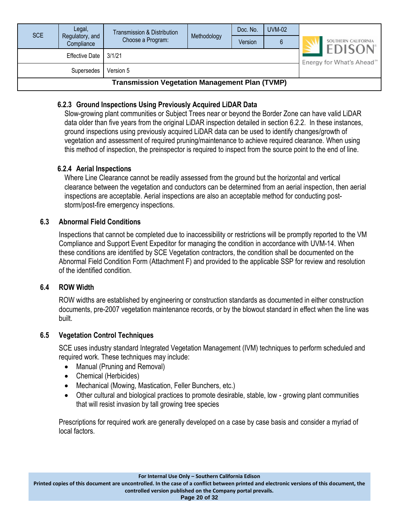| SCE                                                   | Legal,<br>Regulatory, and<br>Compliance | Transmission & Distribution<br>Choose a Program: | Methodology | Doc. No.<br>Version | <b>UVM-02</b><br>6 | SOUTHERN CALIFORNIA<br><b>EDISON</b> |  |  |
|-------------------------------------------------------|-----------------------------------------|--------------------------------------------------|-------------|---------------------|--------------------|--------------------------------------|--|--|
|                                                       | Energy for What's Ahead <sup>5M</sup>   |                                                  |             |                     |                    |                                      |  |  |
|                                                       |                                         |                                                  |             |                     |                    |                                      |  |  |
| <b>Transmission Vegetation Management Plan (TVMP)</b> |                                         |                                                  |             |                     |                    |                                      |  |  |

#### <span id="page-19-0"></span>**6.2.3 Ground Inspections Using Previously Acquired LiDAR Data**

Slow-growing plant communities or Subject Trees near or beyond the Border Zone can have valid LiDAR data older than five years from the original LiDAR inspection detailed in section 6.2.2. In these instances, ground inspections using previously acquired LiDAR data can be used to identify changes/growth of vegetation and assessment of required pruning/maintenance to achieve required clearance. When using this method of inspection, the preinspector is required to inspect from the source point to the end of line.

#### <span id="page-19-1"></span>**6.2.4 Aerial Inspections**

Where Line Clearance cannot be readily assessed from the ground but the horizontal and vertical clearance between the vegetation and conductors can be determined from an aerial inspection, then aerial inspections are acceptable. Aerial inspections are also an acceptable method for conducting poststorm/post-fire emergency inspections.

#### <span id="page-19-2"></span>**6.3 Abnormal Field Conditions**

Inspections that cannot be completed due to inaccessibility or restrictions will be promptly reported to the VM Compliance and Support Event Expeditor for managing the condition in accordance with UVM-14. When these conditions are identified by SCE Vegetation contractors, the condition shall be documented on the Abnormal Field Condition Form (Attachment F) and provided to the applicable SSP for review and resolution of the identified condition.

#### <span id="page-19-3"></span>**6.4 ROW Width**

ROW widths are established by engineering or construction standards as documented in either construction documents, pre-2007 vegetation maintenance records, or by the blowout standard in effect when the line was built.

#### <span id="page-19-4"></span>**6.5 Vegetation Control Techniques**

SCE uses industry standard Integrated Vegetation Management (IVM) techniques to perform scheduled and required work. These techniques may include:

- Manual (Pruning and Removal)
- Chemical (Herbicides)
- Mechanical (Mowing, Mastication, Feller Bunchers, etc.)
- Other cultural and biological practices to promote desirable, stable, low growing plant communities that will resist invasion by tall growing tree species

Prescriptions for required work are generally developed on a case by case basis and consider a myriad of local factors.

**Printed copies of this document are uncontrolled. In the case of a conflict between printed and electronic versions of this document, the controlled version published on the Company portal prevails.**

**Page 20 of 32**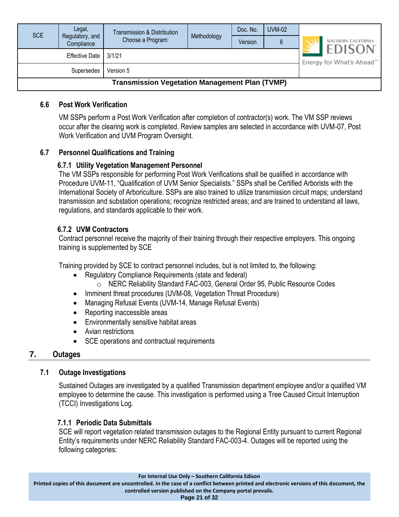| <b>SCE</b>                                            | Legal,                        | Transmission & Distribution |             | Doc. No. | <b>UVM-02</b> |                                                       |                     |
|-------------------------------------------------------|-------------------------------|-----------------------------|-------------|----------|---------------|-------------------------------------------------------|---------------------|
|                                                       | Regulatory, and<br>Compliance | Choose a Program:           | Methodology | Version  | 6             |                                                       | SOUTHERN CALIFORNIA |
| <b>Effective Date</b><br>3/1/21                       |                               |                             |             |          |               | <b>EDISON</b><br>Energy for What's Ahead <sup>®</sup> |                     |
| Version 5<br>Supersedes                               |                               |                             |             |          |               |                                                       |                     |
| <b>Transmission Vegetation Management Plan (TVMP)</b> |                               |                             |             |          |               |                                                       |                     |

#### <span id="page-20-0"></span>**6.6 Post Work Verification**

VM SSPs perform a Post Work Verification after completion of contractor(s) work. The VM SSP reviews occur after the clearing work is completed. Review samples are selected in accordance with UVM-07, Post Work Verification and UVM Program Oversight.

#### <span id="page-20-2"></span><span id="page-20-1"></span>**6.7 Personnel Qualifications and Training**

#### **6.7.1 Utility Vegetation Management Personnel**

The VM SSPs responsible for performing Post Work Verifications shall be qualified in accordance with Procedure UVM-11, "Qualification of UVM Senior Specialists." SSPs shall be Certified Arborists with the International Society of Arboriculture. SSPs are also trained to utilize transmission circuit maps; understand transmission and substation operations; recognize restricted areas; and are trained to understand all laws, regulations, and standards applicable to their work.

#### <span id="page-20-3"></span>**6.7.2 UVM Contractors**

Contract personnel receive the majority of their training through their respective employers. This ongoing training is supplemented by SCE

Training provided by SCE to contract personnel includes, but is not limited to, the following:

- Regulatory Compliance Requirements (state and federal)
	- o NERC Reliability Standard FAC-003, General Order 95, Public Resource Codes
- Imminent threat procedures (UVM-08, Vegetation Threat Procedure)
- Managing Refusal Events (UVM-14, Manage Refusal Events)
- Reporting inaccessible areas
- Environmentally sensitive habitat areas
- Avian restrictions
- SCE operations and contractual requirements

#### <span id="page-20-5"></span><span id="page-20-4"></span>**7. Outages**

#### **7.1 Outage Investigations**

Sustained Outages are investigated by a qualified Transmission department employee and/or a qualified VM employee to determine the cause. This investigation is performed using a Tree Caused Circuit Interruption (TCCI) Investigations Log.

#### <span id="page-20-6"></span>**7.1.1 Periodic Data Submittals**

SCE will report vegetation related transmission outages to the Regional Entity pursuant to current Regional Entity's requirements under NERC Reliability Standard FAC-003-4. Outages will be reported using the following categories:

**Printed copies of this document are uncontrolled. In the case of a conflict between printed and electronic versions of this document, the controlled version published on the Company portal prevails.**

**Page 21 of 32**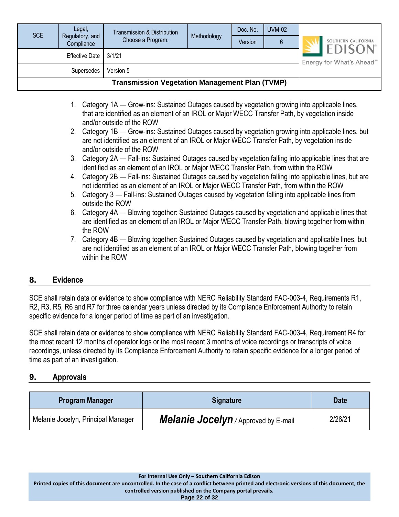| <b>SCE</b>                                            | Legal,<br>Regulatory, and<br>Compliance | Transmission & Distribution<br>Choose a Program: | Methodology | Doc. No.<br>Version | <b>UVM-02</b><br>6 | SOUTHERN CALIFORNIA                                     |
|-------------------------------------------------------|-----------------------------------------|--------------------------------------------------|-------------|---------------------|--------------------|---------------------------------------------------------|
| 3/1/21<br><b>Effective Date</b>                       |                                         |                                                  |             |                     |                    | <b>EDISON</b><br>Energy for What's Ahead <sup>500</sup> |
| Version 5<br>Supersedes                               |                                         |                                                  |             |                     |                    |                                                         |
| <b>Transmission Vegetation Management Plan (TVMP)</b> |                                         |                                                  |             |                     |                    |                                                         |

- 1. Category 1A Grow-ins: Sustained Outages caused by vegetation growing into applicable lines, that are identified as an element of an IROL or Major WECC Transfer Path, by vegetation inside and/or outside of the ROW
- 2. Category 1B Grow-ins: Sustained Outages caused by vegetation growing into applicable lines, but are not identified as an element of an IROL or Major WECC Transfer Path, by vegetation inside and/or outside of the ROW
- 3. Category 2A Fall-ins: Sustained Outages caused by vegetation falling into applicable lines that are identified as an element of an IROL or Major WECC Transfer Path, from within the ROW
- 4. Category 2B Fall-ins: Sustained Outages caused by vegetation falling into applicable lines, but are not identified as an element of an IROL or Major WECC Transfer Path, from within the ROW
- 5. Category 3 Fall-ins: Sustained Outages caused by vegetation falling into applicable lines from outside the ROW
- 6. Category 4A Blowing together: Sustained Outages caused by vegetation and applicable lines that are identified as an element of an IROL or Major WECC Transfer Path, blowing together from within the ROW
- 7. Category 4B Blowing together: Sustained Outages caused by vegetation and applicable lines, but are not identified as an element of an IROL or Major WECC Transfer Path, blowing together from within the ROW

#### <span id="page-21-0"></span>**8. Evidence**

SCE shall retain data or evidence to show compliance with NERC Reliability Standard FAC-003-4, Requirements R1, R2, R3, R5, R6 and R7 for three calendar years unless directed by its Compliance Enforcement Authority to retain specific evidence for a longer period of time as part of an investigation.

SCE shall retain data or evidence to show compliance with NERC Reliability Standard FAC-003-4, Requirement R4 for the most recent 12 months of operator logs or the most recent 3 months of voice recordings or transcripts of voice recordings, unless directed by its Compliance Enforcement Authority to retain specific evidence for a longer period of time as part of an investigation.

### <span id="page-21-1"></span>**9. Approvals**

| <b>Program Manager</b>             | <b>Signature</b>                            | <b>Date</b> |
|------------------------------------|---------------------------------------------|-------------|
| Melanie Jocelyn, Principal Manager | <b>Melanie Jocelyn</b> / Approved by E-mail | 2/26/21     |

**Page 22 of 32**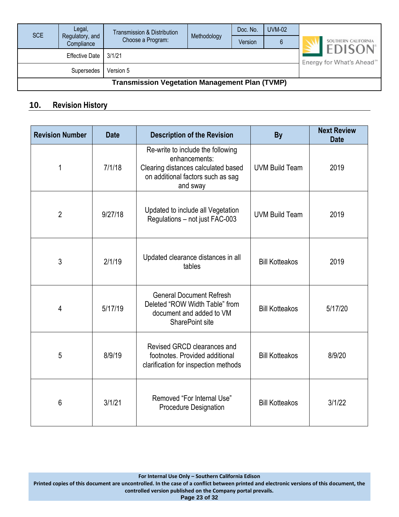| <b>SCE</b>                                            | Legal,<br>Regulatory, and<br>Compliance | Transmission & Distribution<br>Choose a Program: | Methodology | Doc. No.<br>Version | <b>UVM-02</b><br>6 | SOUTHERN CALIFORNIA                    |
|-------------------------------------------------------|-----------------------------------------|--------------------------------------------------|-------------|---------------------|--------------------|----------------------------------------|
|                                                       |                                         |                                                  |             |                     |                    | <b>EDISON</b>                          |
|                                                       | Effective Date                          | 3/1/21                                           |             |                     |                    | Energy for What's Ahead <sup>500</sup> |
| Version 5<br>Supersedes                               |                                         |                                                  |             |                     |                    |                                        |
| <b>Transmission Vegetation Management Plan (TVMP)</b> |                                         |                                                  |             |                     |                    |                                        |

## <span id="page-22-0"></span>**10. Revision History**

| <b>Revision Number</b> | <b>Date</b>                                                                    | <b>Description of the Revision</b>                                                                                                         | <b>By</b>             | <b>Next Review</b><br><b>Date</b> |
|------------------------|--------------------------------------------------------------------------------|--------------------------------------------------------------------------------------------------------------------------------------------|-----------------------|-----------------------------------|
| 1                      | 7/1/18                                                                         | Re-write to include the following<br>enhancements:<br>Clearing distances calculated based<br>on additional factors such as sag<br>and sway | <b>UVM Build Team</b> | 2019                              |
| $\overline{2}$         | Updated to include all Vegetation<br>9/27/18<br>Regulations - not just FAC-003 |                                                                                                                                            | <b>UVM Build Team</b> | 2019                              |
| 3                      | 2/1/19                                                                         | Updated clearance distances in all<br>tables                                                                                               | <b>Bill Kotteakos</b> | 2019                              |
| 4                      | 5/17/19                                                                        | <b>General Document Refresh</b><br>Deleted "ROW Width Table" from<br>document and added to VM<br>SharePoint site                           | <b>Bill Kotteakos</b> | 5/17/20                           |
| 5                      | 8/9/19                                                                         | Revised GRCD clearances and<br>footnotes. Provided additional<br>clarification for inspection methods                                      | <b>Bill Kotteakos</b> | 8/9/20                            |
| 6                      | 3/1/21                                                                         | Removed "For Internal Use"<br><b>Procedure Designation</b>                                                                                 | <b>Bill Kotteakos</b> | 3/1/22                            |

**For Internal Use Only – Southern California Edison**

**Printed copies of this document are uncontrolled. In the case of a conflict between printed and electronic versions of this document, the controlled version published on the Company portal prevails.**

**Page 23 of 32**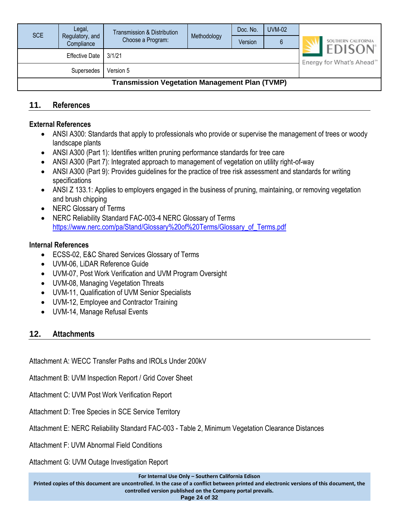| <b>SCE</b>                                            | Legal,<br>Regulatory, and | <b>Transmission &amp; Distribution</b> | Methodology | Doc. No. | <b>UVM-02</b> |                                       |                                      |
|-------------------------------------------------------|---------------------------|----------------------------------------|-------------|----------|---------------|---------------------------------------|--------------------------------------|
|                                                       | Compliance                | Choose a Program:                      |             | Version  |               |                                       | SOUTHERN CALIFORNIA<br><b>EDISON</b> |
| <b>Effective Date</b><br>3/1/21                       |                           |                                        |             |          |               | Energy for What's Ahead <sup>5M</sup> |                                      |
| Version 5<br>Supersedes                               |                           |                                        |             |          |               |                                       |                                      |
| <b>Transmission Vegetation Management Plan (TVMP)</b> |                           |                                        |             |          |               |                                       |                                      |

#### <span id="page-23-0"></span>**11. References**

#### **External References**

- ANSI A300: Standards that apply to professionals who provide or supervise the management of trees or woody landscape plants
- ANSI A300 (Part 1): Identifies written pruning performance standards for tree care
- ANSI A300 (Part 7): Integrated approach to management of vegetation on utility right-of-way
- ANSI A300 (Part 9): Provides guidelines for the practice of tree risk assessment and standards for writing specifications
- ANSI Z 133.1: Applies to employers engaged in the business of pruning, maintaining, or removing vegetation and brush chipping
- NERC Glossary of Terms
- NERC Reliability Standard FAC-003-4 NERC Glossary of Terms [https://www.nerc.com/pa/Stand/Glossary%20of%20Terms/Glossary\\_of\\_Terms.pdf](https://www.nerc.com/pa/Stand/Glossary%20of%20Terms/Glossary_of_Terms.pdf)

#### **Internal References**

- ECSS-02, E&C Shared Services Glossary of Terms
- UVM-06, LiDAR Reference Guide
- UVM-07, Post Work Verification and UVM Program Oversight
- UVM-08, Managing Vegetation Threats
- UVM-11, Qualification of UVM Senior Specialists
- UVM-12, Employee and Contractor Training
- UVM-14, Manage Refusal Events

#### <span id="page-23-1"></span>**12. Attachments**

Attachment A: WECC Transfer Paths and IROLs Under 200kV

Attachment B: UVM Inspection Report / Grid Cover Sheet

Attachment C: UVM Post Work Verification Report

Attachment D: Tree Species in SCE Service Territory

Attachment E: NERC Reliability Standard FAC-003 - Table 2, Minimum Vegetation Clearance Distances

Attachment F: UVM Abnormal Field Conditions

Attachment G: UVM Outage Investigation Report

**For Internal Use Only – Southern California Edison**

**Printed copies of this document are uncontrolled. In the case of a conflict between printed and electronic versions of this document, the controlled version published on the Company portal prevails.**

**Page 24 of 32**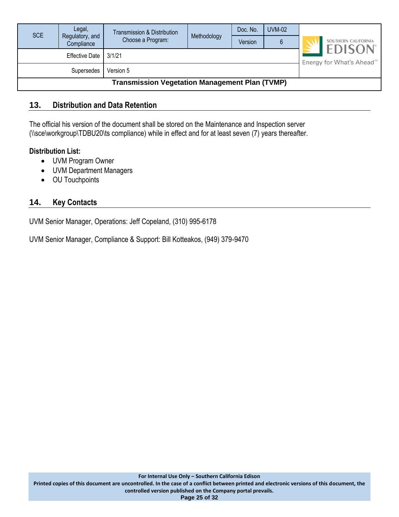| <b>SCE</b>                                            | Legal,<br>Regulatory, and<br>Compliance | Transmission & Distribution<br>Choose a Program: | Methodology | Doc. No.<br>Version | <b>UVM-02</b> | SOUTHERN CALIFORNIA                                                 |
|-------------------------------------------------------|-----------------------------------------|--------------------------------------------------|-------------|---------------------|---------------|---------------------------------------------------------------------|
|                                                       | Effective Date                          | 3/1/21                                           |             |                     |               | <b>EDISON</b> <sup>®</sup><br>Energy for What's Ahead <sup>5M</sup> |
| Version 5<br><b>Supersedes</b>                        |                                         |                                                  |             |                     |               |                                                                     |
| <b>Transmission Vegetation Management Plan (TVMP)</b> |                                         |                                                  |             |                     |               |                                                                     |

#### <span id="page-24-0"></span>**13. Distribution and Data Retention**

The official his version of the document shall be stored on the Maintenance and Inspection server (\\sce\workgroup\TDBU20\ts compliance) while in effect and for at least seven (7) years thereafter.

#### **Distribution List:**

- UVM Program Owner
- UVM Department Managers
- OU Touchpoints

#### <span id="page-24-1"></span>**14. Key Contacts**

UVM Senior Manager, Operations: Jeff Copeland, (310) 995-6178

UVM Senior Manager, Compliance & Support: Bill Kotteakos, (949) 379-9470

**Page 25 of 32**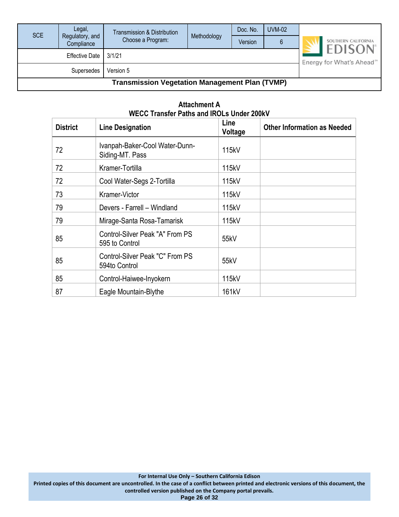| <b>SCE</b>                                            | Legal,<br>Regulatory, and | Transmission & Distribution<br>Choose a Program: | Methodology | Doc. No. | <b>UVM-02</b> | SOUTHERN CALIFORNIA                                     |
|-------------------------------------------------------|---------------------------|--------------------------------------------------|-------------|----------|---------------|---------------------------------------------------------|
|                                                       | Compliance                |                                                  |             | Version  |               |                                                         |
| 3/1/21<br><b>Effective Date</b>                       |                           |                                                  |             |          |               | <b>EDISON</b><br>Energy for What's Ahead <sup>500</sup> |
|                                                       |                           |                                                  |             |          |               |                                                         |
| <b>Transmission Vegetation Management Plan (TVMP)</b> |                           |                                                  |             |          |               |                                                         |

| <b>District</b> | <b>Line Designation</b>                           | Line<br>Voltage | <b>Other Information as Needed</b> |
|-----------------|---------------------------------------------------|-----------------|------------------------------------|
| 72              | Ivanpah-Baker-Cool Water-Dunn-<br>Siding-MT. Pass | 115kV           |                                    |
| 72              | Kramer-Tortilla                                   | 115kV           |                                    |
| 72              | Cool Water-Segs 2-Tortilla                        | 115kV           |                                    |
| 73              | Kramer-Victor                                     | 115kV           |                                    |
| 79              | Devers - Farrell - Windland                       | 115kV           |                                    |
| 79              | Mirage-Santa Rosa-Tamarisk                        | 115kV           |                                    |
| 85              | Control-Silver Peak "A" From PS<br>595 to Control | 55kV            |                                    |
| 85              | Control-Silver Peak "C" From PS<br>594to Control  | 55kV            |                                    |
| 85              | Control-Haiwee-Inyokern                           | 115kV           |                                    |
| 87              | Eagle Mountain-Blythe                             | 161kV           |                                    |

#### **Attachment A WECC Transfer Paths and IROLs Under 200kV**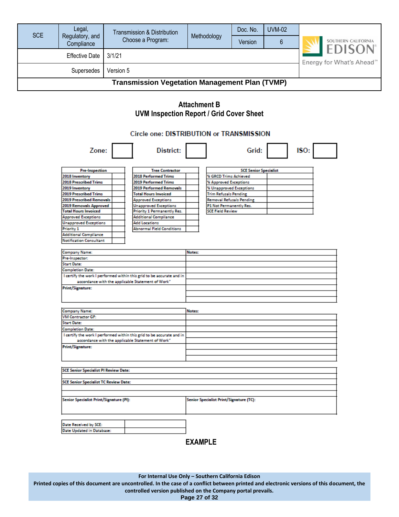| <b>SCE</b>                                            | Legal,<br>Regulatory, and<br>Compliance | Transmission & Distribution<br>Choose a Program: | Methodology | Doc. No.<br>Version | <b>UVM-02</b><br>6 | SOUTHERN CALIFORNIA                                     |
|-------------------------------------------------------|-----------------------------------------|--------------------------------------------------|-------------|---------------------|--------------------|---------------------------------------------------------|
| 3/1/21<br><b>Effective Date</b>                       |                                         |                                                  |             |                     |                    | <b>EDISON</b><br>Energy for What's Ahead <sup>500</sup> |
| Version 5<br><b>Supersedes</b>                        |                                         |                                                  |             |                     |                    |                                                         |
| <b>Transmission Vegetation Management Plan (TVMP)</b> |                                         |                                                  |             |                     |                    |                                                         |

#### **Attachment B UVM Inspection Report / Grid Cover Sheet**

#### Circle one: DISTRIBUTION or TRANSMISSION

| Zone:                                        | District:                                                             |        | Grid:                                   | ISO: |  |
|----------------------------------------------|-----------------------------------------------------------------------|--------|-----------------------------------------|------|--|
| <b>Pre-Inspection</b>                        | <b>Tree Contractor</b>                                                |        | <b>SCE Senior Specialist</b>            |      |  |
| 2018 Inventory                               | 2018 Performed Trims                                                  |        | % GRCD Trims Achieved                   |      |  |
| 2018 Prescribed Trims                        | 2019 Performed Trims                                                  |        | % Approved Exceptions                   |      |  |
| 2019 Inventory                               | 2019 Performed Removals                                               |        | % Unapproved Exceptions                 |      |  |
| <b>2019 Prescribed Trims</b>                 | <b>Total Hours Invoiced</b>                                           |        | <b>Trim Refusals Pending</b>            |      |  |
| <b>2019 Prescribed Removals</b>              | <b>Approved Exceptions</b>                                            |        | <b>Removal Refusals Pending</b>         |      |  |
| 2019 Removals Approved                       | <b>Unapproved Exceptions</b>                                          |        | P1 Not Permanently Res.                 |      |  |
| <b>Total Hours Invoiced</b>                  | Priority 1 Permanently Res.                                           |        | <b>SCE Field Review</b>                 |      |  |
| <b>Approved Exceptions</b>                   | <b>Additional Compliance</b>                                          |        |                                         |      |  |
| <b>Unapproved Exceptions</b>                 | <b>Add Locations</b>                                                  |        |                                         |      |  |
| Priority 1                                   | <b>Abnormal Field Conditions</b>                                      |        |                                         |      |  |
| <b>Additional Compliance</b>                 |                                                                       |        |                                         |      |  |
| <b>Notification Consultant</b>               |                                                                       |        |                                         |      |  |
| <b>Company Name:</b>                         |                                                                       | Notes: |                                         |      |  |
| Pre-Inspector:                               |                                                                       |        |                                         |      |  |
| <b>Start Date:</b>                           |                                                                       |        |                                         |      |  |
| <b>Completion Date:</b>                      |                                                                       |        |                                         |      |  |
|                                              | I certify the work I performed within this grid to be accurate and in |        |                                         |      |  |
|                                              | accordance with the applicable Statement of Work"                     |        |                                         |      |  |
| <b>Print/Signature:</b>                      |                                                                       |        |                                         |      |  |
|                                              |                                                                       |        |                                         |      |  |
|                                              |                                                                       |        |                                         |      |  |
|                                              |                                                                       |        |                                         |      |  |
| <b>Company Name:</b>                         |                                                                       | Notes: |                                         |      |  |
| <b>VM Contractor GF:</b>                     |                                                                       |        |                                         |      |  |
| <b>Start Date:</b>                           |                                                                       |        |                                         |      |  |
| <b>Completion Date:</b>                      |                                                                       |        |                                         |      |  |
|                                              | I certify the work I performed within this grid to be accurate and in |        |                                         |      |  |
|                                              | accordance with the applicable Statement of Work"                     |        |                                         |      |  |
| <b>Print/Signature:</b>                      |                                                                       |        |                                         |      |  |
|                                              |                                                                       |        |                                         |      |  |
|                                              |                                                                       |        |                                         |      |  |
|                                              |                                                                       |        |                                         |      |  |
| <b>SCE Senior Specialist PI Review Date:</b> |                                                                       |        |                                         |      |  |
| <b>SCE Senior Specialist TC Review Date:</b> |                                                                       |        |                                         |      |  |
|                                              |                                                                       |        |                                         |      |  |
| Senior Specialist Print/Signature (PI):      |                                                                       |        | Senior Specialist Print/Signature (TC): |      |  |
|                                              |                                                                       |        |                                         |      |  |
|                                              |                                                                       |        |                                         |      |  |
| Date Received by SCE:                        |                                                                       |        |                                         |      |  |
| Date Updated in Database:                    |                                                                       |        |                                         |      |  |
|                                              |                                                                       |        |                                         |      |  |

#### **EXAMPLE**

**For Internal Use Only – Southern California Edison**

**Printed copies of this document are uncontrolled. In the case of a conflict between printed and electronic versions of this document, the controlled version published on the Company portal prevails.**

**Page 27 of 32**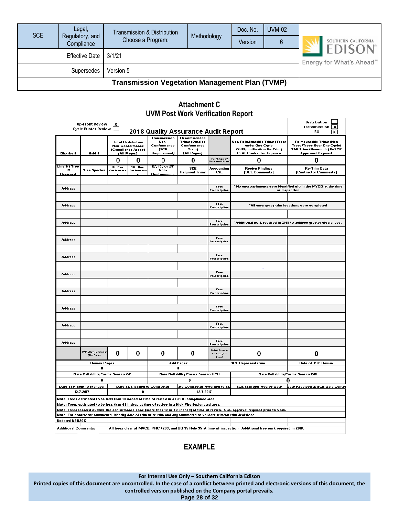| <b>SCE</b>                                            | Legal,                        | Transmission & Distribution |             | Doc. No. | <b>UVM-02</b> |                                                        |
|-------------------------------------------------------|-------------------------------|-----------------------------|-------------|----------|---------------|--------------------------------------------------------|
|                                                       | Regulatory, and<br>Compliance | Choose a Program:           | Methodology | Version  | 6             | SOUTHERN CALIFORNIA                                    |
| Effective Date   3/1/21                               |                               |                             |             |          |               | <b>EDISON</b><br>Energy for What's Ahead <sup>®™</sup> |
| Version 5<br>Supersedes                               |                               |                             |             |          |               |                                                        |
| <b>Transmission Vegetation Management Plan (TVMP)</b> |                               |                             |             |          |               |                                                        |

#### **Attachment C UVM Post Work Verification Report**

|                                                                                                                                                                                                                                             | Up-Front Review<br><b>Cycle Buster Review</b>                                                                                                     | $\mathbf{x}$                                                   |                                        |                                                             | 2018 Quality Assurance Audit Report                                                                                  |                                          |                                                                                                                         | Distribution<br>Transmission<br>$\mathbf{x}$<br><b>ISO</b><br>x                                                                  |
|---------------------------------------------------------------------------------------------------------------------------------------------------------------------------------------------------------------------------------------------|---------------------------------------------------------------------------------------------------------------------------------------------------|----------------------------------------------------------------|----------------------------------------|-------------------------------------------------------------|----------------------------------------------------------------------------------------------------------------------|------------------------------------------|-------------------------------------------------------------------------------------------------------------------------|----------------------------------------------------------------------------------------------------------------------------------|
| District #                                                                                                                                                                                                                                  | Grid #                                                                                                                                            | <b>Total Distribution</b><br>(Compliance Areas)<br>(All Pages) | <b>Non-Conformance</b>                 | Transmission<br>Non-<br>Conformance<br>(SCE<br>Requirement) | <b>Recommended</b><br><b>Trims (Outside</b><br>Conformance<br>Zone)<br>(All Pages)                                   |                                          | Non-Reimbursable Trims (Trees<br>under One Cycle<br><b>Old/Specification Re-Trim)</b><br><b>C=At Contractor Expense</b> | Reimbursable Trims (New<br><b>Trees/Trees Over One Cycle/</b><br><b>T&amp;E Trims/Removals) E=SCE</b><br><b>Approved Payment</b> |
|                                                                                                                                                                                                                                             |                                                                                                                                                   | 0                                                              | 0                                      | 0                                                           | 0                                                                                                                    | -<br>TOTAL Account<br>Findingr (All Page | 0                                                                                                                       | 0                                                                                                                                |
| Line # / Tree<br>ID                                                                                                                                                                                                                         | <b>Tree Species</b>                                                                                                                               | $18  H_{\text{max}}$<br>Conferment                             | $48 - $ $H_{\text{max}}$<br>Conferment | 12", 15", or 25"<br>Non-                                    | <b>SCE</b>                                                                                                           | <b>Accounting</b>                        | <b>Review Findings</b>                                                                                                  | <b>Re-Trim Data</b>                                                                                                              |
| Reviewed                                                                                                                                                                                                                                    |                                                                                                                                                   |                                                                |                                        | Conformance                                                 | <b>Required Trims</b>                                                                                                | C/E                                      | (SCE Comments)                                                                                                          | (Contractor Comments)                                                                                                            |
| Address                                                                                                                                                                                                                                     |                                                                                                                                                   |                                                                |                                        |                                                             |                                                                                                                      | Tree<br>Prescription                     |                                                                                                                         | No encroachments were identified within the MVCD at the time<br>of inspection                                                    |
|                                                                                                                                                                                                                                             |                                                                                                                                                   |                                                                |                                        |                                                             |                                                                                                                      |                                          |                                                                                                                         |                                                                                                                                  |
| <b>Address</b>                                                                                                                                                                                                                              |                                                                                                                                                   |                                                                |                                        |                                                             |                                                                                                                      | Tree<br>Prescription                     |                                                                                                                         | "All emergency trim locations were completed                                                                                     |
| <b>Address</b>                                                                                                                                                                                                                              |                                                                                                                                                   |                                                                |                                        |                                                             |                                                                                                                      | Tree                                     |                                                                                                                         | "Additional work required in 2018 to achieve greater clearances.                                                                 |
|                                                                                                                                                                                                                                             |                                                                                                                                                   |                                                                |                                        |                                                             |                                                                                                                      | Prescription                             |                                                                                                                         |                                                                                                                                  |
| <b>Address</b>                                                                                                                                                                                                                              |                                                                                                                                                   |                                                                |                                        |                                                             |                                                                                                                      | Tree<br>Prescription                     |                                                                                                                         |                                                                                                                                  |
|                                                                                                                                                                                                                                             |                                                                                                                                                   |                                                                |                                        |                                                             |                                                                                                                      |                                          |                                                                                                                         |                                                                                                                                  |
| <b>Address</b>                                                                                                                                                                                                                              |                                                                                                                                                   |                                                                |                                        |                                                             |                                                                                                                      | Tree<br>Prescription                     |                                                                                                                         |                                                                                                                                  |
|                                                                                                                                                                                                                                             |                                                                                                                                                   |                                                                |                                        |                                                             |                                                                                                                      |                                          |                                                                                                                         |                                                                                                                                  |
| <b>Address</b>                                                                                                                                                                                                                              |                                                                                                                                                   |                                                                |                                        |                                                             |                                                                                                                      | Tree<br>Prescription                     |                                                                                                                         |                                                                                                                                  |
|                                                                                                                                                                                                                                             |                                                                                                                                                   |                                                                |                                        |                                                             |                                                                                                                      |                                          |                                                                                                                         |                                                                                                                                  |
| <b>Address</b>                                                                                                                                                                                                                              |                                                                                                                                                   |                                                                |                                        |                                                             |                                                                                                                      | Tree<br>Prescription                     |                                                                                                                         |                                                                                                                                  |
|                                                                                                                                                                                                                                             |                                                                                                                                                   |                                                                |                                        |                                                             |                                                                                                                      |                                          |                                                                                                                         |                                                                                                                                  |
| <b>Address</b>                                                                                                                                                                                                                              |                                                                                                                                                   |                                                                |                                        |                                                             |                                                                                                                      | Tree<br>Prescription                     |                                                                                                                         |                                                                                                                                  |
|                                                                                                                                                                                                                                             |                                                                                                                                                   |                                                                |                                        |                                                             |                                                                                                                      |                                          |                                                                                                                         |                                                                                                                                  |
| Address                                                                                                                                                                                                                                     |                                                                                                                                                   |                                                                |                                        |                                                             |                                                                                                                      | Tree<br>Prescription                     |                                                                                                                         |                                                                                                                                  |
|                                                                                                                                                                                                                                             |                                                                                                                                                   |                                                                |                                        |                                                             |                                                                                                                      |                                          |                                                                                                                         |                                                                                                                                  |
| <b>Address</b>                                                                                                                                                                                                                              |                                                                                                                                                   |                                                                |                                        |                                                             |                                                                                                                      | Tree<br>Prescription                     |                                                                                                                         |                                                                                                                                  |
|                                                                                                                                                                                                                                             | TOTAL Review Findings<br>(ThirPage)                                                                                                               | o                                                              | 0                                      | 0                                                           | 0                                                                                                                    | TOTAL Account<br>Findings (This<br>Page) | 0                                                                                                                       | 0                                                                                                                                |
|                                                                                                                                                                                                                                             | Review Pages<br>A                                                                                                                                 |                                                                |                                        |                                                             | Add Pages<br>O                                                                                                       |                                          | <b>SCE Representative</b>                                                                                               | Date of TSP Review                                                                                                               |
|                                                                                                                                                                                                                                             | Date Reliability Forms Sent to GF                                                                                                                 |                                                                |                                        |                                                             | Date Reliability Forms Sent to HFH                                                                                   |                                          |                                                                                                                         | Date Reliability Forms Sent to DRI                                                                                               |
|                                                                                                                                                                                                                                             | n                                                                                                                                                 |                                                                |                                        |                                                             | 0                                                                                                                    |                                          |                                                                                                                         | o                                                                                                                                |
| Date SCE Issued to Contractor<br>ate Contractor Returned to SC<br>Date TSP Sent to Manager<br>12.7.2017<br>12 7 2017<br>A                                                                                                                   |                                                                                                                                                   |                                                                |                                        |                                                             | <b>SCE Manager Review Date</b><br>Date Received at SCE Data Center                                                   |                                          |                                                                                                                         |                                                                                                                                  |
|                                                                                                                                                                                                                                             | Note: Trees estimated to be less than 18 inches at time of review in a CPUC compliance area.                                                      |                                                                |                                        |                                                             |                                                                                                                      |                                          |                                                                                                                         |                                                                                                                                  |
| Note: Trees estimated to be less than 48 inches at time of review in a High Fire designated area.<br>Note: Trees located outside the conformance zone (more than 18 or 48  inches) at time of review.  SCE approval required prior to work. |                                                                                                                                                   |                                                                |                                        |                                                             |                                                                                                                      |                                          |                                                                                                                         |                                                                                                                                  |
|                                                                                                                                                                                                                                             |                                                                                                                                                   |                                                                |                                        |                                                             | Note: For contractor comments, identify date of trim or re-trim and any comments to validate trim/no trim decisions. |                                          |                                                                                                                         |                                                                                                                                  |
| <b>Updated 1/31/2017</b>                                                                                                                                                                                                                    |                                                                                                                                                   |                                                                |                                        |                                                             |                                                                                                                      |                                          |                                                                                                                         |                                                                                                                                  |
|                                                                                                                                                                                                                                             | <b>Additional Comments:</b><br>All trees clear of MVCD, PRC 4293, and GO 95 Rule 35 at time of inspection. Additional tree work required in 2018. |                                                                |                                        |                                                             |                                                                                                                      |                                          |                                                                                                                         |                                                                                                                                  |

#### **EXAMPLE**

**For Internal Use Only – Southern California Edison**

**Printed copies of this document are uncontrolled. In the case of a conflict between printed and electronic versions of this document, the controlled version published on the Company portal prevails.**

**Page 28 of 32**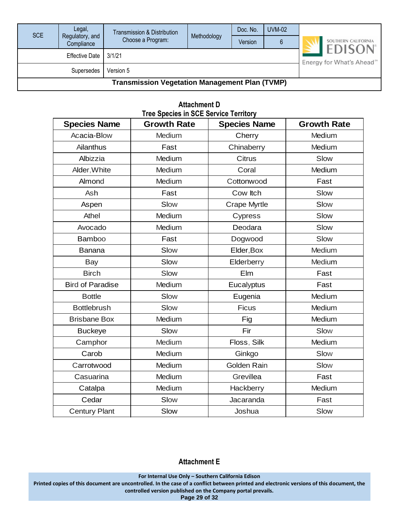| <b>SCE</b>                                            | Legal,<br>Regulatory, and | Transmission & Distribution | Methodology                            | Doc. No. | <b>UVM-02</b> |                                      |  |  |  |
|-------------------------------------------------------|---------------------------|-----------------------------|----------------------------------------|----------|---------------|--------------------------------------|--|--|--|
|                                                       | Compliance                | Choose a Program:           |                                        | Version  |               | SOUTHERN CALIFORNIA<br><b>EDISON</b> |  |  |  |
|                                                       | <b>Effective Date</b>     | 3/1/21                      | Energy for What's Ahead <sup>550</sup> |          |               |                                      |  |  |  |
|                                                       | <b>Supersedes</b>         | Version 5                   |                                        |          |               |                                      |  |  |  |
| <b>Transmission Vegetation Management Plan (TVMP)</b> |                           |                             |                                        |          |               |                                      |  |  |  |

|                         | <b>TIEE OPECIES III OUE OEIVICE TEITIUI V</b> |                     |                    |  |  |  |  |  |  |  |  |
|-------------------------|-----------------------------------------------|---------------------|--------------------|--|--|--|--|--|--|--|--|
| <b>Species Name</b>     | <b>Growth Rate</b>                            | <b>Species Name</b> | <b>Growth Rate</b> |  |  |  |  |  |  |  |  |
| Acacia-Blow             | Medium                                        | Cherry              | Medium             |  |  |  |  |  |  |  |  |
| Ailanthus               | Fast                                          | Chinaberry          | Medium             |  |  |  |  |  |  |  |  |
| Albizzia                | Medium                                        | <b>Citrus</b>       | Slow               |  |  |  |  |  |  |  |  |
| Alder, White            | Medium                                        | Coral               | Medium             |  |  |  |  |  |  |  |  |
| Almond                  | Medium                                        | Cottonwood          | Fast               |  |  |  |  |  |  |  |  |
| Ash                     | Fast                                          | Cow Itch            | Slow               |  |  |  |  |  |  |  |  |
| Aspen                   | Slow                                          | Crape Myrtle        | Slow               |  |  |  |  |  |  |  |  |
| Athel                   | Medium                                        | Cypress             | Slow               |  |  |  |  |  |  |  |  |
| Avocado                 | Medium                                        | Deodara             | Slow               |  |  |  |  |  |  |  |  |
| <b>Bamboo</b>           | Fast                                          | Dogwood             | Slow               |  |  |  |  |  |  |  |  |
| <b>Banana</b>           | Slow                                          | Elder, Box          | Medium             |  |  |  |  |  |  |  |  |
| Bay                     | Slow                                          | Elderberry          | Medium             |  |  |  |  |  |  |  |  |
| <b>Birch</b>            | Slow                                          | Elm                 | Fast               |  |  |  |  |  |  |  |  |
| <b>Bird of Paradise</b> | Medium                                        | Eucalyptus          | Fast               |  |  |  |  |  |  |  |  |
| <b>Bottle</b>           | Slow                                          | Eugenia             | Medium             |  |  |  |  |  |  |  |  |
| <b>Bottlebrush</b>      | Slow                                          | Ficus               | Medium             |  |  |  |  |  |  |  |  |
| <b>Brisbane Box</b>     | Medium                                        | Fig                 | Medium             |  |  |  |  |  |  |  |  |
| <b>Buckeye</b>          | Slow                                          | Fir                 | Slow               |  |  |  |  |  |  |  |  |
| Camphor                 | Medium                                        | Floss, Silk         | Medium             |  |  |  |  |  |  |  |  |
| Carob                   | Medium                                        | Ginkgo              | Slow               |  |  |  |  |  |  |  |  |
| Carrotwood              | Medium                                        | Golden Rain         | Slow               |  |  |  |  |  |  |  |  |
| Casuarina               | Medium                                        | Grevillea           | Fast               |  |  |  |  |  |  |  |  |
| Catalpa                 | Medium                                        | Hackberry           | Medium             |  |  |  |  |  |  |  |  |
| Cedar                   | Slow                                          | Jacaranda           | Fast               |  |  |  |  |  |  |  |  |
| <b>Century Plant</b>    | Slow                                          | Joshua              | Slow               |  |  |  |  |  |  |  |  |

#### **Attachment D Tree Species in SCE Service Territory**

#### **Attachment E**

**For Internal Use Only – Southern California Edison**

**Printed copies of this document are uncontrolled. In the case of a conflict between printed and electronic versions of this document, the controlled version published on the Company portal prevails.**

**Page 29 of 32**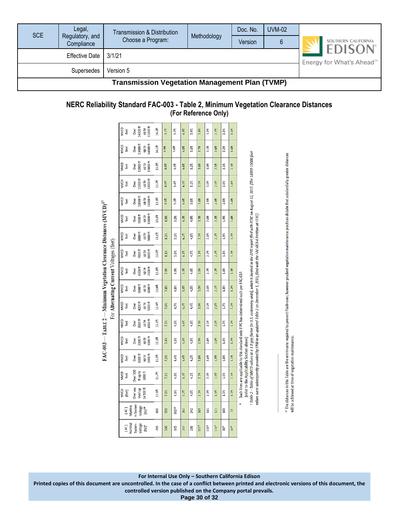| Legal,<br><b>SCE</b><br>Regulatory, and<br>Compliance |                       | Transmission & Distribution<br>Choose a Program: | Methodology                                            | Doc. No.<br>Version | <b>UVM-02</b><br>6 |  | SOUTHERN CALIFORNIA |
|-------------------------------------------------------|-----------------------|--------------------------------------------------|--------------------------------------------------------|---------------------|--------------------|--|---------------------|
|                                                       | <b>Effective Date</b> | 3/1/21                                           | <b>EDISON</b><br>Energy for What's Ahead <sup>5M</sup> |                     |                    |  |                     |
|                                                       | <b>Supersedes</b>     | Version 5                                        |                                                        |                     |                    |  |                     |
| <b>Transmission Vegetation Management Plan (TVMP)</b> |                       |                                                  |                                                        |                     |                    |  |                     |

#### **NERC Reliability Standard FAC-003 - Table 2, Minimum Vegetation Clearance Distances (For Reference Only)**

|                                                                                 |                                         | <b>MVCD</b><br>feet                                | 14000 ft<br>15000 <sup>ft</sup><br>op to<br>Over  | 14.3ft             | $9.1$ ft          | 5.7 <sup>th</sup> | $6.9+$            | 5.4ft             | 3.8 <sup>th</sup> | 3.2 <sub>π</sub>  | 2.7 <sup>th</sup> | 2.2 <sup>th</sup> | 1.6 <sup>th</sup>                                                                                                                                                             |                                                                                                                                 |
|---------------------------------------------------------------------------------|-----------------------------------------|----------------------------------------------------|---------------------------------------------------|--------------------|-------------------|-------------------|-------------------|-------------------|-------------------|-------------------|-------------------|-------------------|-------------------------------------------------------------------------------------------------------------------------------------------------------------------------------|---------------------------------------------------------------------------------------------------------------------------------|
|                                                                                 | <b>MVCD</b><br>feet                     | 13000 ft<br>14000 ft<br>up to<br>Over              | 14.1ft                                            | 8.9ft              | 5.6ft             | 6.8ft             | $5.3+$            | 3.7 <sup>th</sup> | 3.1 <sub>ft</sub> | 2.6 <sup>th</sup> | 2.2 <sup>th</sup> | 1.6 <sup>th</sup> |                                                                                                                                                                               |                                                                                                                                 |
|                                                                                 | MVCD<br>feet                            | $12000$ ft<br>13000 <sup>ft</sup><br>up to<br>Over | 13.9ft                                            | $8.8+$             | 5.5 <sup>†</sup>  | 6.6ft             | 5.2 <sub>ft</sub> | 3.6 <sup>th</sup> | $3.0+$            | 2.5 <sup>th</sup> | 2.1 <sub>th</sub> | 1.5 <sup>th</sup> | * Table 2 – Table of MVCD values at a 1.0 gap factor (in U.S. customary units), which is located in the EPRI report filed with FERC on August 12, 2015. [The 14000-15000 foot |                                                                                                                                 |
|                                                                                 |                                         | <b>MVCD</b><br>feet                                | $11000 \text{ ft}$<br>12000 ft<br>up to<br>Over   | 13.7 <sub>ft</sub> | 8.6ft             | 5.4ft             | 6.5 <sup>th</sup> | $5.1$ ft          | 3.5 <sup>th</sup> | 3.0 <sub>ft</sub> | 2.5 <sup>th</sup> | 2.0 <sub>th</sub> | 1.4 <sub>ft</sub>                                                                                                                                                             |                                                                                                                                 |
|                                                                                 |                                         | <b>MVCD</b><br>feet                                | 10000 ft<br>11000 ft<br>oj dn<br>Over             | 13.5ft             | 8.5 <sup>th</sup> | 5.3 <sub>ft</sub> | 6.4ft             | $5.0+$            | 3.4 <sub>1</sub>  | 2.9 <sub>ft</sub> | 2.4 <sup>ft</sup> | $2.0+$            | 1.4ft                                                                                                                                                                         |                                                                                                                                 |
|                                                                                 |                                         | <b>MVCD</b><br>feet                                | 100000 ft<br><b>10006</b><br>up to<br>Over        | 13.3 <sup>†</sup>  | 8.3 <sup>†</sup>  | 5.2 <sub>ft</sub> | 6.3ft             | 4.9ft             | 3.3 <sup>†</sup>  | 2.8 <sup>th</sup> | 2.3 <sup>th</sup> | $\frac{9}{1}$     | 1.4 <sup>ft</sup>                                                                                                                                                             |                                                                                                                                 |
|                                                                                 |                                         | <b>MVCD</b><br>feet                                | <b>BOOO ft</b><br>9000 ft<br>up to<br><b>Over</b> | 13.1 <sup>†</sup>  | 8.2 <sup>ft</sup> | $5.1+$            | 6.2 <sup>th</sup> | 4.8ft             | 3.3 <sup>†</sup>  | 2.8 <sup>th</sup> | 2.3 <sup>th</sup> | $\frac{4}{1.91}$  | 1.3 <sup>th</sup>                                                                                                                                                             |                                                                                                                                 |
|                                                                                 |                                         | <b>MVCD</b><br>feet                                | 7000 ft<br>8000 ft<br>up to<br>Over               | 13.0ft             | $8.1$ ft          | 5.0 <sup>th</sup> | $6.1$ ft          | 4.7ft             | 3.2 <sup>†</sup>  | 2.7 <sup>th</sup> | 2.2 <sup>†</sup>  | 1.8 <sup>th</sup> | $1.3$ ft                                                                                                                                                                      |                                                                                                                                 |
| FAC-003 — TABLE 2 — Minimum Vegetation Clearance Distances (MVCD) <sup>17</sup> | For Alternating Current Voltages (feet) | <b>MVCD</b><br>feet                                | 7000 ft<br><b>6000 ft</b><br>up to<br>Over        | 12.8 <sup>th</sup> | 7.9 <sup>th</sup> | 4.9 <sup>†</sup>  | 5.9ft             | 4.6ft             | 3.1 <sup>tt</sup> | 2.7 <sup>th</sup> | 2.2 <sup>†</sup>  | 1.8 <sup>th</sup> | 1.3 <sup>th</sup>                                                                                                                                                             | values were subsequently provided by EPRI in an updated Table 2 on December 1, 2015, filed with the FAC-003-4 Petition at FERC) |
|                                                                                 |                                         | <b>MVCD</b><br>feet                                | $5000$ ft<br>6000 ft<br>up to<br>Over             | 12.6ft             | 7.8ft             | 4.8 <sup>th</sup> | 5.8ft             | 4.5ft             | 3.0 <sup>th</sup> | 2.6 <sup>th</sup> | 2.1 <sup>th</sup> | 1.8 <sup>th</sup> | 1.2 <sup>th</sup>                                                                                                                                                             |                                                                                                                                 |
|                                                                                 |                                         | <b>MVCD</b><br>feet                                | 4000 ft<br>5000 ft<br>up to<br>Over               | 12.4ft             | 7.6 <sup>th</sup> | 4.7ft             | 5.7 <sup>th</sup> | 4.4ft             | 3.0 <sup>†</sup>  | 2.5 <sup>th</sup> | 2.1 <sub>ft</sub> | 1.7 <sup>th</sup> | 1.2 <sup>th</sup>                                                                                                                                                             |                                                                                                                                 |
|                                                                                 |                                         | <b>MVCD</b><br>feet                                | $3000$ ft<br>4000 ft<br>up to<br>Over             | 12.2 <sup>ft</sup> | 7.5 <sup>th</sup> | 4.6ft             | 5.6ft             | 4.3ft             | 2.9 <sub>ft</sub> | 2.5 <sup>h</sup>  | 2.0 <sub>ft</sub> | 1.7 <sub>ft</sub> | 1.2 <sup>th</sup>                                                                                                                                                             | Such lines are applicable to this standard only if PC has determined such per FAC-014                                           |
|                                                                                 |                                         | <b>MVCD</b><br>feet                                | $2000\text{ ft}$<br>3000 ft<br>up to<br>Over      | 12.1 <sub>ft</sub> | 7.4ft             | 4.5ft             | 5.5ft             | 4.3ft             | 2.9 <sub>ft</sub> | 2.4 <sup>th</sup> | 2.0 <sub>ft</sub> | 1.6 <sup>th</sup> | 1.2 <sup>th</sup>                                                                                                                                                             |                                                                                                                                 |
|                                                                                 |                                         | <b>MVCD</b><br>feet                                | $1000 \text{ ft}$<br>2000 ft<br>up to<br>Over     | 11.9ft             | $7.2$ ft          | 4.4ft             | 5.4ft             | 4.2ft             | 2.8 <sup>th</sup> | 2.4 <sub>ft</sub> | 1.9 <sup>ft</sup> | 1.6 <sup>th</sup> | $1.1$ ft                                                                                                                                                                      | (refer to the Applicability Section above)                                                                                      |
|                                                                                 |                                         | <b>MVCD</b><br>feet                                | Over 500<br>ft up to<br>1000 ft                   | 11.7ft             | $7.1$ ft          | 4.3 <sup>th</sup> | $5.3$ ft          | 4.1ft             | 2.7 <sup>th</sup> | 2.3 <sup>†</sup>  | 1.9 <sub>ft</sub> | 15 <sup>th</sup>  | $\frac{44}{110}$                                                                                                                                                              |                                                                                                                                 |
|                                                                                 |                                         | <b>NIVCD</b><br>(feet)                             | $100500$ ft<br>Over sea<br>level up               | 11.6ft             | 7.0 <sup>th</sup> | 4.3 <sup>th</sup> | 5.2 <sup>th</sup> | 4.0ft             | 2.7 <sup>π</sup>  | 2.3 <sup>th</sup> | 1.9 <sup>ft</sup> | 1.5 <sup>th</sup> | 1.1 <sup>ft</sup>                                                                                                                                                             |                                                                                                                                 |
|                                                                                 |                                         | Maximu<br>(AC)                                     | m System<br>Voltage<br>$\frac{1}{2}$              | 800                | 550               | $362^{19}$        | 302               | 242               | 169               | 145               | 121               | 100               | 72                                                                                                                                                                            |                                                                                                                                 |
|                                                                                 |                                         | Vominal<br>(AC)                                    | Voltage<br>System<br>$\sum$                       | 765                | 500               | 345               | 287               | 230               | $161*$            | $138*$            | $115*$            | $38*$             | 69*                                                                                                                                                                           |                                                                                                                                 |

<sup>17</sup> The distances in this Table are the minimums required to prevent Flash-over; however prudent vegetation maintenance practices dictate that substantially greater distances<br>will be achieved at time of vegetation mainten

**Printed copies of this document are uncontrolled. In the case of a conflict between printed and electronic versions of this document, the controlled version published on the Company portal prevails.**

**Page 30 of 32**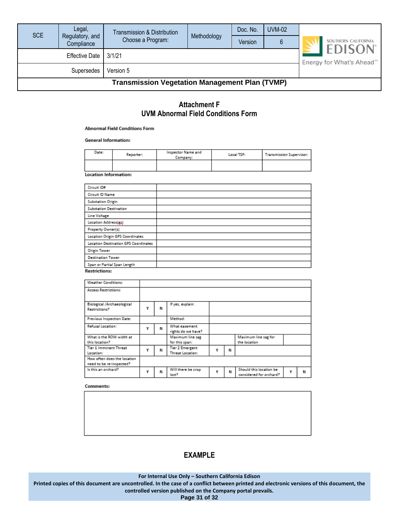| <b>SCE</b>                                            | Legal,                        | Transmission & Distribution |                                                         | Doc. No. | UVM-02 |                     |  |  |  |
|-------------------------------------------------------|-------------------------------|-----------------------------|---------------------------------------------------------|----------|--------|---------------------|--|--|--|
|                                                       | Regulatory, and<br>Compliance | Choose a Program:           | Methodology                                             | Version  |        | SOUTHERN CALIFORNIA |  |  |  |
|                                                       | <b>Effective Date</b>         | 3/1/21                      | <b>EDISON</b><br>Energy for What's Ahead <sup>500</sup> |          |        |                     |  |  |  |
|                                                       | Supersedes                    | Version 5                   |                                                         |          |        |                     |  |  |  |
| <b>Transmission Vegetation Management Plan (TVMP)</b> |                               |                             |                                                         |          |        |                     |  |  |  |

#### **Attachment F UVM Abnormal Field Conditions Form**

#### **Abnormal Field Conditions Form**

#### **General Information:**

| Date: | Reporter: | Inspector Name and<br>Company: | Local TSP: | Transmission Supervisor: |
|-------|-----------|--------------------------------|------------|--------------------------|
|       |           |                                |            |                          |

**Location Information:** 

| Circuit ID#                          |  |
|--------------------------------------|--|
| Circuit ID Name                      |  |
| Substation Origin                    |  |
| Substation Destination               |  |
| Line Voltage                         |  |
| Location Address(ex)                 |  |
| Property Owner(s)                    |  |
| Location Origin GPS Coordinates      |  |
| Location Destination GPS Coordinates |  |
| Origin Tower                         |  |
| <b>Destination Tower</b>             |  |
| Span or Partial Span Length          |  |
| _ _ _                                |  |

#### **Restrictions:**

| Weather Conditions:                                     |   |   |                                     |   |   |                                                    |   |   |
|---------------------------------------------------------|---|---|-------------------------------------|---|---|----------------------------------------------------|---|---|
| Access Restrictions:                                    |   |   |                                     |   |   |                                                    |   |   |
| Biological /Archaeological<br>Restrictions?             | Υ | N | If yes, explain:                    |   |   |                                                    |   |   |
| Previous Inspection Date:                               |   |   | Method:                             |   |   |                                                    |   |   |
| Refusal Location:                                       | ٧ | N | What easement<br>rights do we have? |   |   |                                                    |   |   |
| What is the ROW width at<br>this location?              |   |   | Maximum line sag<br>for this span:  |   |   | Maximum line sag for<br>the location               |   |   |
| Tier 1 Imminent Threat<br>Location:                     | ٧ | N | Tier 2 Emergent<br>Threat Location: | ٧ | N |                                                    |   |   |
| How often does the location<br>need to be re-inspected? |   |   |                                     |   |   |                                                    |   |   |
| Is this an orchard?                                     | γ | N | Will there be crop<br>lost?         | Υ | Ν | Should this location be<br>considered for orchard? | Υ | N |

#### Comments:

#### **EXAMPLE**

**For Internal Use Only – Southern California Edison**

**Printed copies of this document are uncontrolled. In the case of a conflict between printed and electronic versions of this document, the controlled version published on the Company portal prevails.**

**Page 31 of 32**